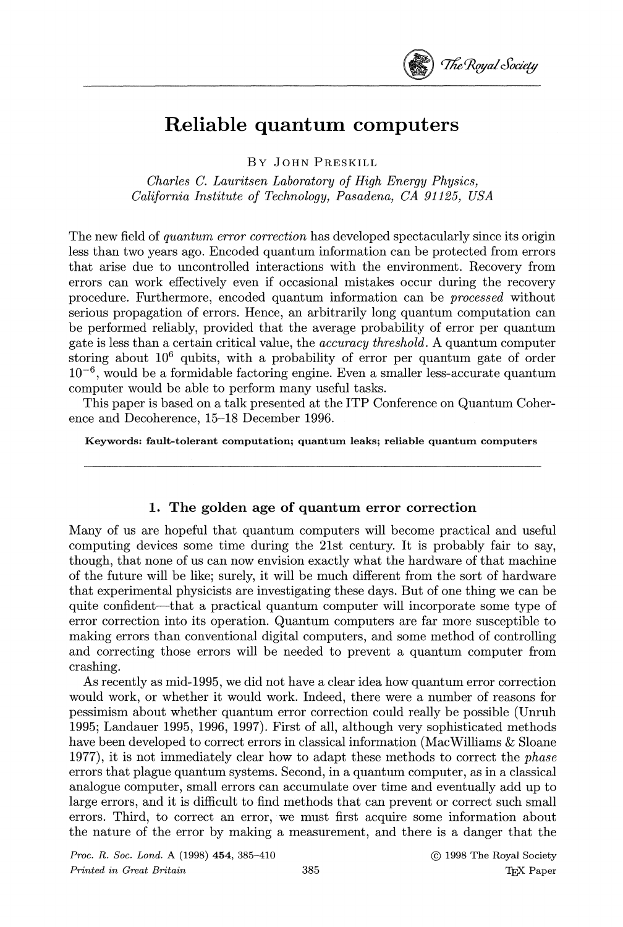

# **Reliable quantum computers**

**BY JOHN PRESKILL** 

**Charles C. Lauritsen Laboratory of High Energy Physics, California Institute of Technology, Pasadena, CA 91125, USA** 

**The new field of quantum error correction has developed spectacularly since its origin less than two years ago. Encoded quantum information can be protected from errors that arise due to uncontrolled interactions with the environment. Recovery from errors can work effectively even if occasional mistakes occur during the recovery procedure. Furthermore, encoded quantum information can be processed without serious propagation of errors. Hence, an arbitrarily long quantum computation can be performed reliably, provided that the average probability of error per quantum gate is less than a certain critical value, the accuracy threshold. A quantum computer storing about 106 qubits, with a probability of error per quantum gate of order**   $10^{-6}$ , would be a formidable factoring engine. Even a smaller less-accurate quantum **computer would be able to perform many useful tasks.** 

**This paper is based on a talk presented at the ITP Conference on Quantum Coherence and Decoherence, 15-18 December 1996.** 

**Keywords: fault-tolerant computation; quantum leaks; reliable quantum computers** 

# **1. The golden age of quantum error correction**

**Many of us are hopeful that quantum computers will become practical and useful computing devices some time during the 21st century. It is probably fair to say, though, that none of us can now envision exactly what the hardware of that machine of the future will be like; surely, it will be much different from the sort of hardware that experimental physicists are investigating these days. But of one thing we can be quite confident-that a practical quantum computer will incorporate some type of error correction into its operation. Quantum computers are far more susceptible to making errors than conventional digital computers, and some method of controlling and correcting those errors will be needed to prevent a quantum computer from crashing.** 

**As recently as mid-1995, we did not have a clear idea how quantum error correction would work, or whether it would work. Indeed, there were a number of reasons for pessimism about whether quantum error correction could really be possible (Unruh 1995; Landauer 1995, 1996, 1997). First of all, although very sophisticated methods have been developed to correct errors in classical information (MacWilliams & Sloane 1977), it is not immediately clear how to adapt these methods to correct the phase errors that plague quantum systems. Second, in a quantum computer, as in a classical analogue computer, small errors can accumulate over time and eventually add up to large errors, and it is difficult to find methods that can prevent or correct such small errors. Third, to correct an error, we must first acquire some information about the nature of the error by making a measurement, and there is a danger that the**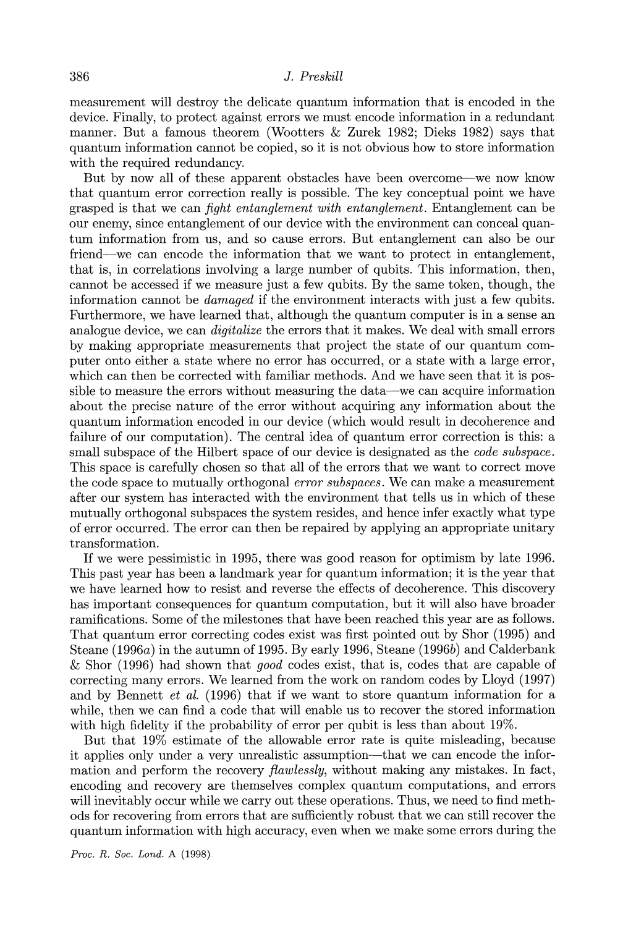## **386 J. Preskill**

**measurement will destroy the delicate quantum information that is encoded in the device. Finally, to protect against errors we must encode information in a redundant manner. But a famous theorem (Wootters & Zurek 1982; Dieks 1982) says that quantum information cannot be copied, so it is not obvious how to store information with the required redundancy.** 

**But by now all of these apparent obstacles have been overcome-we now know that quantum error correction really is possible. The key conceptual point we have grasped is that we can fight entanglement with entanglement. Entanglement can be our enemy, since entanglement of our device with the environment can conceal quantum information from us, and so cause errors. But entanglement can also be our friend-we can encode the information that we want to protect in entanglement, that is, in correlations involving a large number of qubits. This information, then, cannot be accessed if we measure just a few qubits. By the same token, though, the information cannot be damaged if the environment interacts with just a few qubits. Furthermore, we have learned that, although the quantum computer is in a sense an analogue device, we can digitalize the errors that it makes. We deal with small errors by making appropriate measurements that project the state of our quantum computer onto either a state where no error has occurred, or a state with a large error, which can then be corrected with familiar methods. And we have seen that it is possible to measure the errors without measuring the data-we can acquire information about the precise nature of the error without acquiring any information about the quantum information encoded in our device (which would result in decoherence and failure of our computation). The central idea of quantum error correction is this: a**  small subspace of the Hilbert space of our device is designated as the *code subspace*. **This space is carefully chosen so that all of the errors that we want to correct move the code space to mutually orthogonal error subspaces. We can make a measurement after our system has interacted with the environment that tells us in which of these mutually orthogonal subspaces the system resides, and hence infer exactly what type of error occurred. The error can then be repaired by applying an appropriate unitary transformation.** 

**If we were pessimistic in 1995, there was good reason for optimism by late 1996. This past year has been a landmark year for quantum information; it is the year that we have learned how to resist and reverse the effects of decoherence. This discovery has important consequences for quantum computation, but it will also have broader ramifications. Some of the milestones that have been reached this year are as follows. That quantum error correcting codes exist was first pointed out by Shor (1995) and Steane (1996a) in the autumn of 1995. By early 1996, Steane (1996b) and Calderbank & Shor (1996) had shown that good codes exist, that is, codes that are capable of correcting many errors. We learned from the work on random codes by Lloyd (1997) and by Bennett et al. (1996) that if we want to store quantum information for a while, then we can find a code that will enable us to recover the stored information**  with high fidelity if the probability of error per qubit is less than about 19%.

**But that 19% estimate of the allowable error rate is quite misleading, because it applies only under a very unrealistic assumption-that we can encode the information and perform the recovery flawlessly, without making any mistakes. In fact, encoding and recovery are themselves complex quantum computations, and errors**  will inevitably occur while we carry out these operations. Thus, we need to find meth**ods for recovering from errors that are sufficiently robust that we can still recover the quantum information with high accuracy, even when we make some errors during the**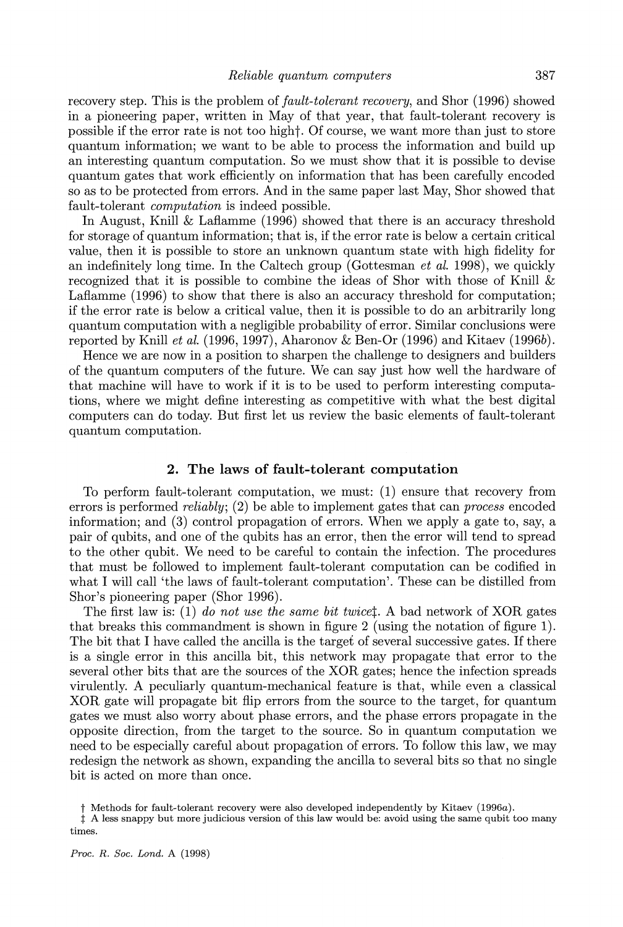**recovery step. This is the problem of fault-tolerant recovery, and Shor (1996) showed in a pioneering paper, written in May of that year, that fault-tolerant recovery is possible if the error rate is not too hight. Of course, we want more than just to store quantum information; we want to be able to process the information and build up an interesting quantum computation. So we must show that it is possible to devise quantum gates that work efficiently on information that has been carefully encoded so as to be protected from errors. And in the same paper last May, Shor showed that fault-tolerant computation is indeed possible.** 

**In August, Knill & Laflamme (1996) showed that there is an accuracy threshold for storage of quantum information; that is, if the error rate is below a certain critical value, then it is possible to store an unknown quantum state with high fidelity for an indefinitely long time. In the Caltech group (Gottesman et al. 1998), we quickly recognized that it is possible to combine the ideas of Shor with those of Knill & Laflamme (1996) to show that there is also an accuracy threshold for computation; if the error rate is below a critical value, then it is possible to do an arbitrarily long quantum computation with a negligible probability of error. Similar conclusions were reported by Knill et al. (1996, 1997), Aharonov & Ben-Or (1996) and Kitaev (1996b).** 

**Hence we are now in a position to sharpen the challenge to designers and builders of the quantum computers of the future. We can say just how well the hardware of that machine will have to work if it is to be used to perform interesting computations, where we might define interesting as competitive with what the best digital computers can do today. But first let us review the basic elements of fault-tolerant quantum computation.** 

#### **2. The laws of fault-tolerant computation**

**To perform fault-tolerant computation, we must: (1) ensure that recovery from errors is performed reliably; (2) be able to implement gates that can process encoded information; and (3) control propagation of errors. When we apply a gate to, say, a pair of qubits, and one of the qubits has an error, then the error will tend to spread to the other qubit. We need to be careful to contain the infection. The procedures that must be followed to implement fault-tolerant computation can be codified in what I will call 'the laws of fault-tolerant computation'. These can be distilled from Shor's pioneering paper (Shor 1996).** 

**The first law is: (1) do not use the same bit twicet. A bad network of XOR gates that breaks this commandment is shown in figure 2 (using the notation of figure 1). The bit that I have called the ancilla is the target of several successive gates. If there is a single error in this ancilla bit, this network may propagate that error to the several other bits that are the sources of the XOR gates; hence the infection spreads virulently. A peculiarly quantum-mechanical feature is that, while even a classical XOR gate will propagate bit flip errors from the source to the target, for quantum gates we must also worry about phase errors, and the phase errors propagate in the opposite direction, from the target to the source. So in quantum computation we need to be especially careful about propagation of errors. To follow this law, we may redesign the network as shown, expanding the ancilla to several bits so that no single bit is acted on more than once.** 

**\$ A less snappy but more judicious version of this law would be: avoid using the same qubit too many times.** 

**t Methods for fault-tolerant recovery were also developed independently by Kitaev (1996a).**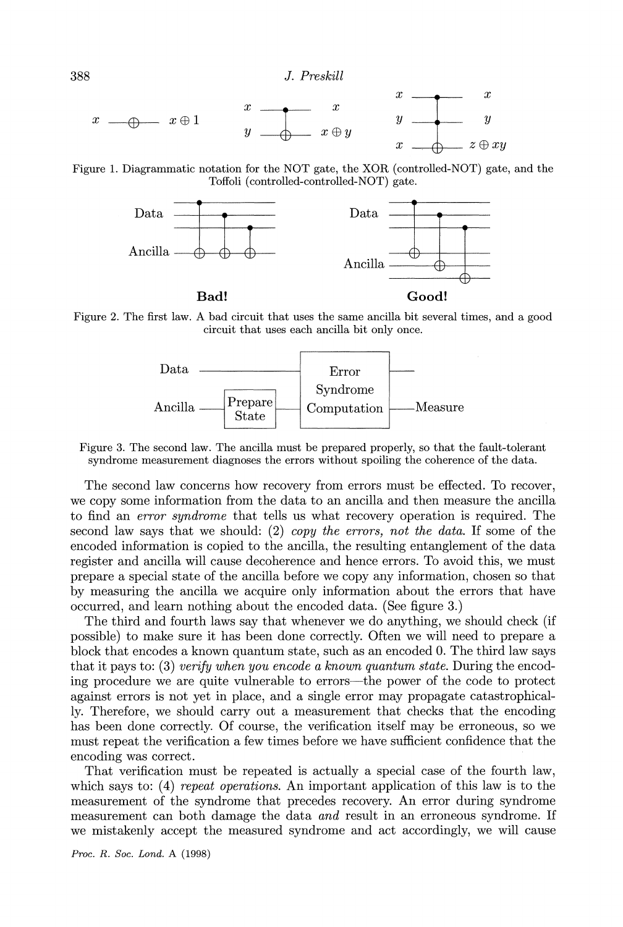**388 J. Preskill** 



**Figure 1. Diagrammatic notation for the NOT gate, the XOR (controlled-NOT) gate, and the Toffoli (controlled-controlled-NOT) gate.** 



**Figure 2. The first law. A bad circuit that uses the same ancilla bit several times, and a good circuit that uses each ancilla bit only once.** 



**Figure 3. The second law. The ancilla must be prepared properly, so that the fault-tolerant syndrome measurement diagnoses the errors without spoiling the coherence of the data.** 

**The second law concerns how recovery from errors must be effected. To recover, we copy some information from the data to an ancilla and then measure the ancilla to find an error syndrome that tells us what recovery operation is required. The second law says that we should: (2) copy the errors, not the data. If some of the encoded information is copied to the ancilla, the resulting entanglement of the data register and ancilla will cause decoherence and hence errors. To avoid this, we must prepare a special state of the ancilla before we copy any information, chosen so that by measuring the ancilla we acquire only information about the errors that have occurred, and learn nothing about the encoded data. (See figure 3.)** 

**The third and fourth laws say that whenever we do anything, we should check (if possible) to make sure it has been done correctly. Often we will need to prepare a block that encodes a known quantum state, such as an encoded 0. The third law says that it pays to: (3) verify when you encode a known quantum state. During the encoding procedure we are quite vulnerable to errors-the power of the code to protect against errors is not yet in place, and a single error may propagate catastrophically. Therefore, we should carry out a measurement that checks that the encoding has been done correctly. Of course, the verification itself may be erroneous, so we must repeat the verification a few times before we have sufficient confidence that the encoding was correct.** 

**That verification must be repeated is actually a special case of the fourth law,**  which says to: (4) repeat operations. An important application of this law is to the **measurement of the syndrome that precedes recovery. An error during syndrome measurement can both damage the data and result in an erroneous syndrome. If we mistakenly accept the measured syndrome and act accordingly, we will cause**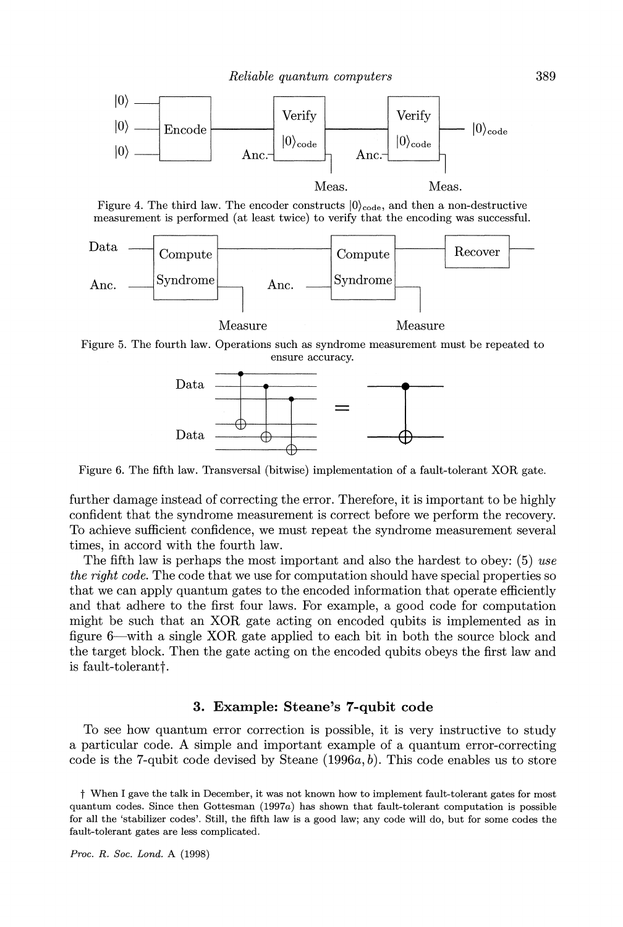

**Figure 4. The third law. The encoder constructs**  $|0\rangle_{code}$ **, and then a non-destructive measurement is performed (at least twice) to verify that the encoding was successful.** 



**Figure 5. The fourth law. Operations such as syndrome measurement must be repeated to ensure accuracy.** 



**Figure 6. The fifth law. Transversal (bitwise) implementation of a fault-tolerant XOR gate.** 

**further damage instead of correcting the error. Therefore, it is important to be highly confident that the syndrome measurement is correct before we perform the recovery. To achieve sufficient confidence, we must repeat the syndrome measurement several times, in accord with the fourth law.** 

**The fifth law is perhaps the most important and also the hardest to obey: (5) use the right code. The code that we use for computation should have special properties so that we can apply quantum gates to the encoded information that operate efficiently and that adhere to the first four laws. For example, a good code for computation might be such that an XOR gate acting on encoded qubits is implemented as in figure 6-with a single XOR gate applied to each bit in both the source block and the target block. Then the gate acting on the encoded qubits obeys the first law and**  is fault-tolerant<sup>†</sup>.

# **3. Example: Steane's 7-qubit code**

**To see how quantum error correction is possible, it is very instructive to study a particular code. A simple and important example of a quantum error-correcting code is the 7-qubit code devised by Steane (1996a, b). This code enables us to store** 

**t When I gave the talk in December, it was not known how to implement fault-tolerant gates for most quantum codes. Since then Gottesman (1997a) has shown that fault-tolerant computation is possible for all the 'stabilizer codes'. Still, the fifth law is a good law; any code will do, but for some codes the fault-tolerant gates are less complicated.**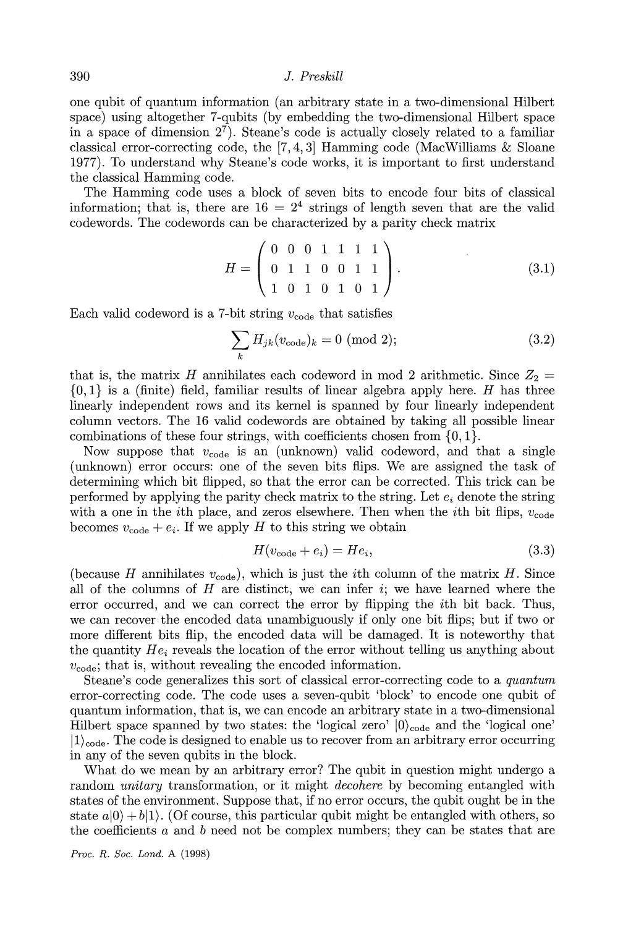**one qubit of quantum information (an arbitrary state in a two-dimensional Hilbert space) using altogether 7-qubits (by embedding the two-dimensional Hilbert space in a space of dimension 27). Steane's code is actually closely related to a familiar classical error-correcting code, the [7,4,3] Hamming code (MacWilliams & Sloane 1977). To understand why Steane's code works, it is important to first understand the classical Hamming code.** 

**The Hamming code uses a block of seven bits to encode four bits of classical**  information; that is, there are  $16 = 2<sup>4</sup>$  strings of length seven that are the valid **codewords. The codewords can be characterized by a parity check matrix** 

$$
H = \left(\begin{array}{cccccc} 0 & 0 & 0 & 1 & 1 & 1 & 1 \\ 0 & 1 & 1 & 0 & 0 & 1 & 1 \\ 1 & 0 & 1 & 0 & 1 & 0 & 1 \end{array}\right). \tag{3.1}
$$

Each valid codeword is a 7-bit string  $v_{\text{code}}$  that satisfies

$$
\sum_{k} H_{jk}(v_{\text{code}})_k = 0 \text{ (mod 2)};
$$
\n(3.2)

that is, the matrix H annihilates each codeword in mod 2 arithmetic. Since  $Z_2$ **{0, 1} is a (finite) field, familiar results of linear algebra apply here. H has three linearly independent rows and its kernel is spanned by four linearly independent column vectors. The 16 valid codewords are obtained by taking all possible linear combinations of these four strings, with coefficients chosen from {0, 1}.** 

Now suppose that  $v_{\text{code}}$  is an (unknown) valid codeword, and that a single **(unknown) error occurs: one of the seven bits flips. We are assigned the task of determining which bit flipped, so that the error can be corrected. This trick can be**  performed by applying the parity check matrix to the string. Let  $e_i$  denote the string with a one in the *i*th place, and zeros elsewhere. Then when the *i*th bit flips,  $v_{code}$ becomes  $v_{\text{code}} + e_i$ . If we apply H to this string we obtain

$$
H(v_{\text{code}} + e_i) = He_i,\tag{3.3}
$$

(because H annihilates  $v_{\text{code}}$ ), which is just the *i*th column of the matrix H. Since all of the columns of  $H$  are distinct, we can infer  $i$ ; we have learned where the **error occurred, and we can correct the error by flipping the ith bit back. Thus, we can recover the encoded data unambiguously if only one bit flips; but if two or more different bits flip, the encoded data will be damaged. It is noteworthy that**  the quantity  $He_i$  reveals the location of the error without telling us anything about **Vcode; that is, without revealing the encoded information.** 

**Steane's code generalizes this sort of classical error-correcting code to a quantum error-correcting code. The code uses a seven-qubit 'block' to encode one qubit of quantum information, that is, we can encode an arbitrary state in a two-dimensional Hilbert space spanned by two states: the 'logical zero'**  $|0\rangle$ <sub>code</sub> and the 'logical one'  $|1\rangle_{code}$ . The code is designed to enable us to recover from an arbitrary error occurring **in any of the seven qubits in the block.** 

**What do we mean by an arbitrary error? The qubit in question might undergo a**  random *unitary* transformation, or it might *decohere* by becoming entangled with **states of the environment. Suppose that, if no error occurs, the qubit ought be in the**  state  $a|0\rangle + b|1\rangle$ . (Of course, this particular qubit might be entangled with others, so **the coefficients a and b need not be complex numbers; they can be states that are**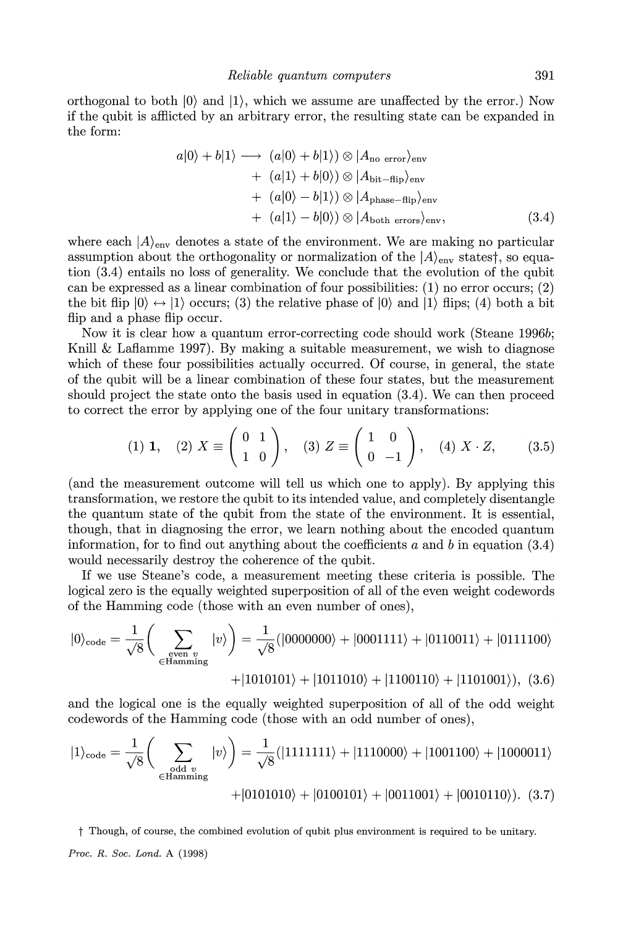orthogonal to both  $|0\rangle$  and  $|1\rangle$ , which we assume are unaffected by the error.) Now **if the qubit is afflicted by an arbitrary error, the resulting state can be expanded in the form:** 

$$
a|0\rangle + b|1\rangle \longrightarrow (a|0\rangle + b|1\rangle) \otimes |A_{\text{no error}}\rangle_{\text{env}}
$$
  
+ 
$$
(a|1\rangle + b|0\rangle) \otimes |A_{\text{bit-flip}}\rangle_{\text{env}}
$$
  
+ 
$$
(a|0\rangle - b|1\rangle) \otimes |A_{\text{phase-flip}}\rangle_{\text{env}}
$$
  
+ 
$$
(a|1\rangle - b|0\rangle) \otimes |A_{\text{both errors}}\rangle_{\text{env}},
$$
(3.4)

where each  $|A\rangle_{\text{env}}$  denotes a state of the environment. We are making no particular assumption about the orthogonality or normalization of the  $|A\rangle_{\text{env}}$  states, so equa**tion (3.4) entails no loss of generality. We conclude that the evolution of the qubit can be expressed as a linear combination of four possibilities: (1) no error occurs; (2)**  the bit flip  $|0\rangle \leftrightarrow |1\rangle$  occurs; (3) the relative phase of  $|0\rangle$  and  $|1\rangle$  flips; (4) both a bit **flip and a phase flip occur.** 

Now it is clear how a quantum error-correcting code should work (Steane 1996b: **Knill & Laflamme 1997). By making a suitable measurement, we wish to diagnose**  which of these four possibilities actually occurred. Of course, in general, the state **of the qubit will be a linear combination of these four states, but the measurement should project the state onto the basis used in equation (3.4). We can then proceed to correct the error by applying one of the four unitary transformations:** 

(1) 1, (2) 
$$
X \equiv \begin{pmatrix} 0 & 1 \\ 1 & 0 \end{pmatrix}
$$
, (3)  $Z \equiv \begin{pmatrix} 1 & 0 \\ 0 & -1 \end{pmatrix}$ , (4)  $X \cdot Z$ , (3.5)

**(and the measurement outcome will tell us which one to apply). By applying this transformation, we restore the qubit to its intended value, and completely disentangle the quantum state of the qubit from the state of the environment. It is essential, though, that in diagnosing the error, we learn nothing about the encoded quantum information, for to find out anything about the coefficients a and b in equation (3.4) would necessarily destroy the coherence of the qubit.** 

**If we use Steane's code, a measurement meeting these criteria is possible. The logical zero is the equally weighted superposition of all of the even weight codewords of the Hamming code (those with an even number of ones),** 

$$
|0\rangle_{\text{code}} = \frac{1}{\sqrt{8}} \bigg( \sum_{\substack{\text{even } v \\ \text{eflanning}}} |v\rangle \bigg) = \frac{1}{\sqrt{8}} (|0000000\rangle + |0001111\rangle + |0110011\rangle + |0111100\rangle)
$$

 $+|1010101\rangle + |1011010\rangle + |1100110\rangle + |1101001\rangle), (3.6)$ 

**and the logical one is the equally weighted superposition of all of the odd weight codewords of the Hamming code (those with an odd number of ones),** 

$$
|1\rangle_{\text{code}} = \frac{1}{\sqrt{8}} \left( \sum_{\substack{\text{odd } v \\ \text{ffanning}}} |v\rangle \right) = \frac{1}{\sqrt{8}} (|1111111\rangle + |1110000\rangle + |1001100\rangle + |1000011\rangle + |001010\rangle + |1000011\rangle + |0101010\rangle + |0010110\rangle).
$$
 (3.7)

**t Though, of course, the combined evolution of qubit plus environment is required to be unitary.**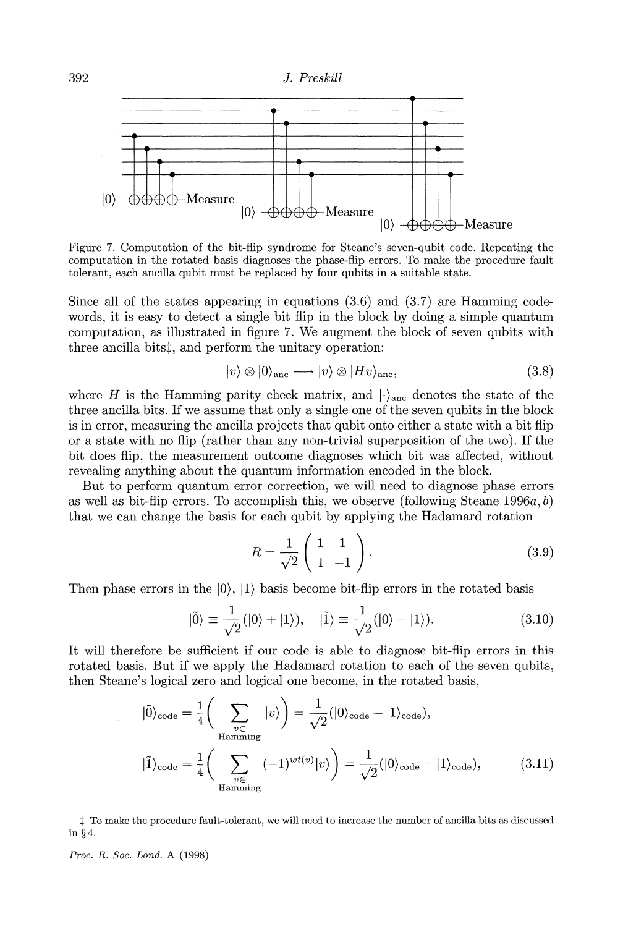

**Figure 7. Computation of the bit-flip syndrome for Steane's seven-qubit code. Repeating the computation in the rotated basis diagnoses the phase-flip errors. To make the procedure fault tolerant, each ancilla qubit must be replaced by four qubits in a suitable state.** 

**Since all of the states appearing in equations (3.6) and (3.7) are Hamming codewords, it is easy to detect a single bit flip in the block by doing a simple quantum computation, as illustrated in figure 7. We augment the block of seven qubits with three ancilla bits:, and perform the unitary operation:** 

$$
|v\rangle \otimes |0\rangle_{\text{anc}} \longrightarrow |v\rangle \otimes |Hv\rangle_{\text{anc}},\tag{3.8}
$$

where H is the Hamming parity check matrix, and  $|\cdot\rangle$ <sub>anc</sub> denotes the state of the **three ancilla bits. If we assume that only a single one of the seven qubits in the block is in error, measuring the ancilla projects that qubit onto either a state with a bit flip or a state with no flip (rather than any non-trivial superposition of the two). If the bit does flip, the measurement outcome diagnoses which bit was affected, without revealing anything about the quantum information encoded in the block.** 

**But to perform quantum error correction, we will need to diagnose phase errors as well as bit-flip errors. To accomplish this, we observe (following Steane 1996a, b) that we can change the basis for each qubit by applying the Hadamard rotation** 

$$
R = \frac{1}{\sqrt{2}} \begin{pmatrix} 1 & 1 \\ 1 & -1 \end{pmatrix}.
$$
 (3.9)

**Then phase errors in the 10), 11) basis become bit-flip errors in the rotated basis** 

$$
|\tilde{0}\rangle \equiv \frac{1}{\sqrt{2}}(|0\rangle + |1\rangle), \quad |\tilde{1}\rangle \equiv \frac{1}{\sqrt{2}}(|0\rangle - |1\rangle). \tag{3.10}
$$

**It will therefore be sufficient if our code is able to diagnose bit-flip errors in this rotated basis. But if we apply the Hadamard rotation to each of the seven qubits, then Steane's logical zero and logical one become, in the rotated basis,** 

$$
|\tilde{0}\rangle_{\text{code}} = \frac{1}{4} \bigg( \sum_{\substack{v \in \text{Hamming} \\ \text{Hamming}}} |v\rangle \bigg) = \frac{1}{\sqrt{2}} (|0\rangle_{\text{code}} + |1\rangle_{\text{code}}),
$$

$$
|\tilde{1}\rangle_{\text{code}} = \frac{1}{4} \bigg( \sum_{\substack{v \in \text{Hamming} \\ \text{Hamming}}} (-1)^{wt(v)} |v\rangle \bigg) = \frac{1}{\sqrt{2}} (|0\rangle_{\text{code}} - |1\rangle_{\text{code}}), \tag{3.11}
$$

**k To make the procedure fault-tolerant, we will need to increase the number of ancilla bits as discussed**  in §4.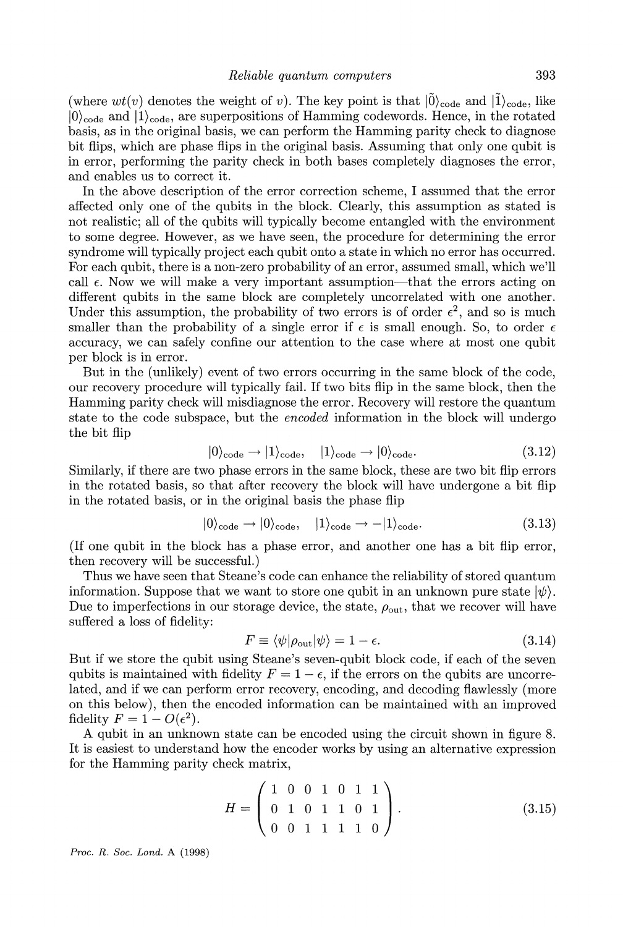(where  $wt(v)$  denotes the weight of v). The key point is that  $\vert \tilde{0} \rangle_{code}$  and  $\vert \tilde{1} \rangle_{code}$ , like  $|0\rangle_{code}$  and  $|1\rangle_{code}$ , are superpositions of Hamming codewords. Hence, in the rotated **basis, as in the original basis, we can perform the Hamming parity check to diagnose bit flips, which are phase flips in the original basis. Assuming that only one qubit is in error, performing the parity check in both bases completely diagnoses the error, and enables us to correct it.** 

**In the above description of the error correction scheme, I assumed that the error affected only one of the qubits in the block. Clearly, this assumption as stated is not realistic; all of the qubits will typically become entangled with the environment to some degree. However, as we have seen, the procedure for determining the error syndrome will typically project each qubit onto a state in which no error has occurred.**  For each qubit, there is a non-zero probability of an error, assumed small, which we'll call  $\epsilon$ . Now we will make a very important assumption—that the errors acting on **different qubits in the same block are completely uncorrelated with one another.**  Under this assumption, the probability of two errors is of order  $\epsilon^2$ , and so is much smaller than the probability of a single error if  $\epsilon$  is small enough. So, to order  $\epsilon$ **accuracy, we can safely confine our attention to the case where at most one qubit per block is in error.** 

**But in the (unlikely) event of two errors occurring in the same block of the code, our recovery procedure will typically fail. If two bits flip in the same block, then the Hamming parity check will misdiagnose the error. Recovery will restore the quantum state to the code subspace, but the encoded information in the block will undergo the bit flip** 

$$
|0\rangle_{\text{code}} \to |1\rangle_{\text{code}}, \quad |1\rangle_{\text{code}} \to |0\rangle_{\text{code}}.
$$
 (3.12)

**Similarly, if there are two phase errors in the same block, these are two bit flip errors in the rotated basis, so that after recovery the block will have undergone a bit flip in the rotated basis, or in the original basis the phase flip** 

$$
|0\rangle_{\text{code}} \to |0\rangle_{\text{code}}, \quad |1\rangle_{\text{code}} \to -|1\rangle_{\text{code}}.\tag{3.13}
$$

**(If one qubit in the block has a phase error, and another one has a bit flip error, then recovery will be successful.)** 

**Thus we have seen that Steane's code can enhance the reliability of stored quantum**  information. Suppose that we want to store one qubit in an unknown pure state  $|\psi\rangle$ . Due to imperfections in our storage device, the state,  $\rho_{\text{out}}$ , that we recover will have **suffered a loss of fidelity:** 

$$
F \equiv \langle \psi | \rho_{\text{out}} | \psi \rangle = 1 - \epsilon. \tag{3.14}
$$

**But if we store the qubit using Steane's seven-qubit block code, if each of the seven**  qubits is maintained with fidelity  $F = 1 - \epsilon$ , if the errors on the qubits are uncorre**lated, and if we can perform error recovery, encoding, and decoding flawlessly (more on this below), then the encoded information can be maintained with an improved**  fidelity  $F = 1 - O(\epsilon^2)$ .

**A qubit in an unknown state can be encoded using the circuit shown in figure 8. It is easiest to understand how the encoder works by using an alternative expression for the Hamming parity check matrix,** 

$$
H = \left(\begin{array}{cccccc} 1 & 0 & 0 & 1 & 0 & 1 & 1 \\ 0 & 1 & 0 & 1 & 1 & 0 & 1 \\ 0 & 0 & 1 & 1 & 1 & 1 & 0 \end{array}\right). \tag{3.15}
$$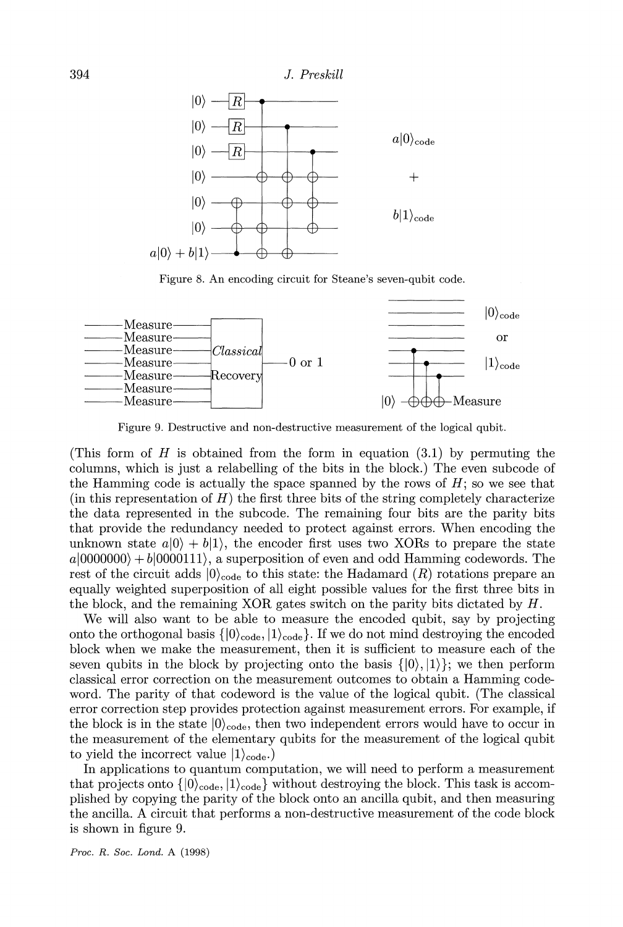

**Figure 8. An encoding circuit for Steane's seven-qubit code.** 



**Figure 9. Destructive and non-destructive measurement of the logical qubit.** 

**(This form of H is obtained from the form in equation (3.1) by permuting the columns, which is just a relabelling of the bits in the block.) The even subcode of**  the Hamming code is actually the space spanned by the rows of  $H$ ; so we see that **(in this representation of H) the first three bits of the string completely characterize the data represented in the subcode. The remaining four bits are the parity bits that provide the redundancy needed to protect against errors. When encoding the**  unknown state  $a|0\rangle + b|1\rangle$ , the encoder first uses two XORs to prepare the state  $a|0000000\rangle + b|0000111\rangle$ , a superposition of even and odd Hamming codewords. The rest of the circuit adds  $|0\rangle_{code}$  to this state: the Hadamard  $(R)$  rotations prepare an **equally weighted superposition of all eight possible values for the first three bits in the block, and the remaining XOR gates switch on the parity bits dictated by H.** 

**We will also want to be able to measure the encoded qubit, say by projecting**  onto the orthogonal basis  $\{0\}_{\text{code}}|1\rangle_{\text{code}}$ . If we do not mind destroying the encoded **block when we make the measurement, then it is sufficient to measure each of the**  seven qubits in the block by projecting onto the basis  $\{|0\rangle, |1\rangle\}$ ; we then perform **classical error correction on the measurement outcomes to obtain a Hamming codeword. The parity of that codeword is the value of the logical qubit. (The classical error correction step provides protection against measurement errors. For example, if**  the block is in the state  $|0\rangle_{code}$ , then two independent errors would have to occur in **the measurement of the elementary qubits for the measurement of the logical qubit**  to vield the incorrect value  $|1\rangle_{code}$ .

**In applications to quantum computation, we will need to perform a measurement**  that projects onto  $\{0\}_{\text{code}}\}\$  without destroying the block. This task is accom**plished by copying the parity of the block onto an ancilla qubit, and then measuring the ancilla. A circuit that performs a non-destructive measurement of the code block is shown in figure 9.**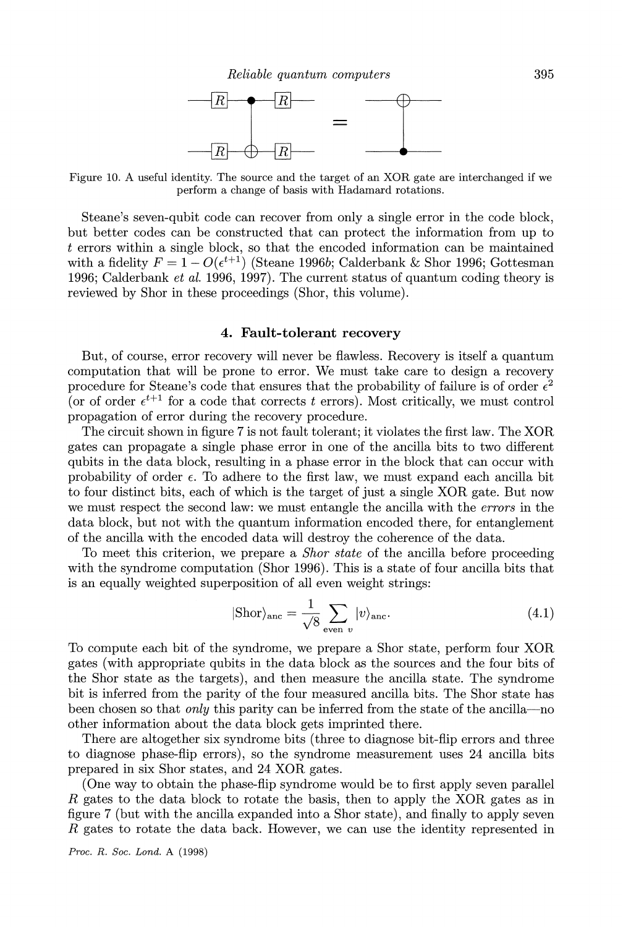

**Figure 10. A useful identity. The source and the target of an XOR gate are interchanged if we perform a change of basis with Hadamard rotations.** 

**Steane's seven-qubit code can recover from only a single error in the code block, but better codes can be constructed that can protect the information from up to t errors within a single block, so that the encoded information can be maintained**  with a fidelity  $F = 1 - O(\epsilon^{t+1})$  (Steane 1996b; Calderbank & Shor 1996; Gottesman **1996; Calderbank et al. 1996, 1997). The current status of quantum coding theory is reviewed by Shor in these proceedings (Shor, this volume).** 

### **4. Fault-tolerant recovery**

**But, of course, error recovery will never be flawless. Recovery is itself a quantum computation that will be prone to error. We must take care to design a recovery**  procedure for Steane's code that ensures that the probability of failure is of order  $\epsilon^2$ (or of order  $e^{t+1}$  for a code that corrects t errors). Most critically, we must control **propagation of error during the recovery procedure.** 

**The circuit shown in figure 7 is not fault tolerant; it violates the first law. The XOR gates can propagate a single phase error in one of the ancilla bits to two different qubits in the data block, resulting in a phase error in the block that can occur with**  probability of order  $\epsilon$ . To adhere to the first law, we must expand each ancilla bit **to four distinct bits, each of which is the target of just a single XOR gate. But now**  we must respect the second law: we must entangle the ancilla with the *errors* in the **data block, but not with the quantum information encoded there, for entanglement of the ancilla with the encoded data will destroy the coherence of the data.** 

**To meet this criterion, we prepare a Shor state of the ancilla before proceeding with the syndrome computation (Shor 1996). This is a state of four ancilla bits that is an equally weighted superposition of all even weight strings:** 

$$
|\text{Shor}\rangle_{\text{anc}} = \frac{1}{\sqrt{8}} \sum_{\text{even } v} |v\rangle_{\text{anc}}.\tag{4.1}
$$

**To compute each bit of the syndrome, we prepare a Shor state, perform four XOR gates (with appropriate qubits in the data block as the sources and the four bits of the Shor state as the targets), and then measure the ancilla state. The syndrome bit is inferred from the parity of the four measured ancilla bits. The Shor state has been chosen so that only this parity can be inferred from the state of the ancilla-no other information about the data block gets imprinted there.** 

**There are altogether six syndrome bits (three to diagnose bit-flip errors and three to diagnose phase-flip errors), so the syndrome measurement uses 24 ancilla bits prepared in six Shor states, and 24 XOR gates.** 

**(One way to obtain the phase-flip syndrome would be to first apply seven parallel R gates to the data block to rotate the basis, then to apply the XOR gates as in figure 7 (but with the ancilla expanded into a Shor state), and finally to apply seven R gates to rotate the data back. However, we can use the identity represented in**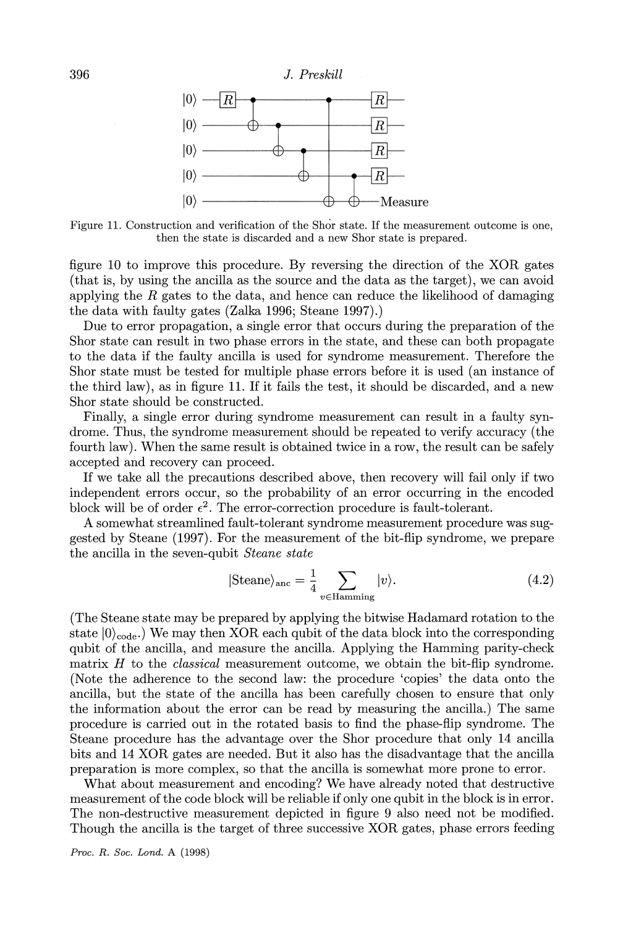

**Figure 11. Construction and verification of the Shor state. If the measurement outcome is one, then the state is discarded and a new Shor state is prepared.** 

**figure 10 to improve this procedure. By reversing the direction of the XOR gates (that is, by using the ancilla as the source and the data as the target), we can avoid applying the R gates to the data, and hence can reduce the likelihood of damaging the data with faulty gates (Zalka 1996; Steane 1997).)** 

**Due to error propagation, a single error that occurs during the preparation of the Shor state can result in two phase errors in the state, and these can both propagate to the data if the faulty ancilla is used for syndrome measurement. Therefore the Shor state must be tested for multiple phase errors before it is used (an instance of the third law), as in figure 11. If it fails the test, it should be discarded, and a new Shor state should be constructed.** 

**Finally, a single error during syndrome measurement can result in a faulty syndrome. Thus, the syndrome measurement should be repeated to verify accuracy (the fourth law). When the same result is obtained twice in a row, the result can be safely accepted and recovery can proceed.** 

**If we take all the precautions described above, then recovery will fail only if two independent errors occur, so the probability of an error occurring in the encoded**  block will be of order  $\epsilon^2$ . The error-correction procedure is fault-tolerant.

**A somewhat streamlined fault-tolerant syndrome measurement procedure was suggested by Steane (1997). For the measurement of the bit-flip syndrome, we prepare the ancilla in the seven-qubit Steane state** 

$$
|\text{Steane}\rangle_{\text{anc}} = \frac{1}{4} \sum_{v \in \text{Hamming}} |v\rangle.
$$
 (4.2)

**(The Steane state may be prepared by applying the bitwise Hadamard rotation to the**  state  $|0\rangle_{code}$ .) We may then XOR each qubit of the data block into the corresponding **qubit of the ancilla, and measure the ancilla. Applying the Hamming parity-check matrix H to the classical measurement outcome, we obtain the bit-flip syndrome. (Note the adherence to the second law: the procedure 'copies' the data onto the ancilla, but the state of the ancilla has been carefully chosen to ensure that only the information about the error can be read by measuring the ancilla.) The same procedure is carried out in the rotated basis to find the phase-flip syndrome. The Steane procedure has the advantage over the Shor procedure that only 14 ancilla bits and 14 XOR gates are needed. But it also has the disadvantage that the ancilla preparation is more complex, so that the ancilla is somewhat more prone to error.** 

**What about measurement and encoding? We have already noted that destructive measurement of the code block will be reliable if only one qubit in the block is in error. The non-destructive measurement depicted in figure 9 also need not be modified. Though the ancilla is the target of three successive XOR gates, phase errors feeding**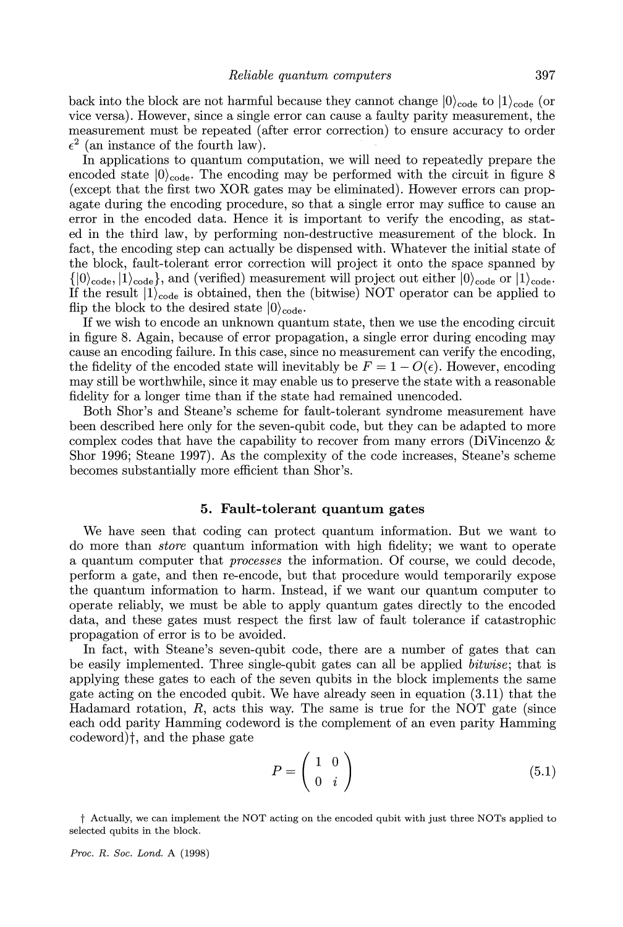back into the block are not harmful because they cannot change  $|0\rangle_{code}$  to  $|1\rangle_{code}$  (or **vice versa). However, since a single error can cause a faulty parity measurement, the measurement must be repeated (after error correction) to ensure accuracy to order**   $\epsilon^2$  (an instance of the fourth law).

**In applications to quantum computation, we will need to repeatedly prepare the**  encoded state  $|0\rangle_{code}$ . The encoding may be performed with the circuit in figure 8 **(except that the first two XOR gates may be eliminated). However errors can propagate during the encoding procedure, so that a single error may suffice to cause an error in the encoded data. Hence it is important to verify the encoding, as stated in the third law, by performing non-destructive measurement of the block. In**  fact, the encoding step can actually be dispensed with. Whatever the initial state of **the block, fault-tolerant error correction will project it onto the space spanned by**   $\{|0\rangle_{code},|1\rangle_{code},$  and (verified) measurement will project out either  $|0\rangle_{code}$  or  $|1\rangle_{code}$ . If the result  $|1\rangle_{code}$  is obtained, then the (bitwise) NOT operator can be applied to flip the block to the desired state  $|0\rangle_{code}$ .

**If we wish to encode an unknown quantum state, then we use the encoding circuit in figure 8. Again, because of error propagation, a single error during encoding may cause an encoding failure. In this case, since no measurement can verify the encoding,**  the fidelity of the encoded state will inevitably be  $F = 1 - O(\epsilon)$ . However, encoding **may still be worthwhile, since it may enable us to preserve the state with a reasonable fidelity for a longer time than if the state had remained unencoded.** 

**Both Shor's and Steane's scheme for fault-tolerant syndrome measurement have been described here only for the seven-qubit code, but they can be adapted to more complex codes that have the capability to recover from many errors (DiVincenzo & Shor 1996; Steane 1997). As the complexity of the code increases, Steane's scheme becomes substantially more efficient than Shor's.** 

# **5. Fault-tolerant quantum gates**

**We have seen that coding can protect quantum information. But we want to do more than store quantum information with high fidelity; we want to operate a quantum computer that processes the information. Of course, we could decode, perform a gate, and then re-encode, but that procedure would temporarily expose the quantum information to harm. Instead, if we want our quantum computer to operate reliably, we must be able to apply quantum gates directly to the encoded data, and these gates must respect the first law of fault tolerance if catastrophic propagation of error is to be avoided.** 

**In fact, with Steane's seven-qubit code, there are a number of gates that can be easily implemented. Three single-qubit gates can all be applied bitwise; that is applying these gates to each of the seven qubits in the block implements the same gate acting on the encoded qubit. We have already seen in equation (3.11) that the Hadamard rotation, R, acts this way. The same is true for the NOT gate (since each odd parity Hamming codeword is the complement of an even parity Hamming codeword)t, and the phase gate** 

$$
P = \left(\begin{array}{cc} 1 & 0 \\ 0 & i \end{array}\right) \tag{5.1}
$$

**t Actually, we can implement the NOT acting on the encoded qubit with just three NOTs applied to selected qubits in the block.**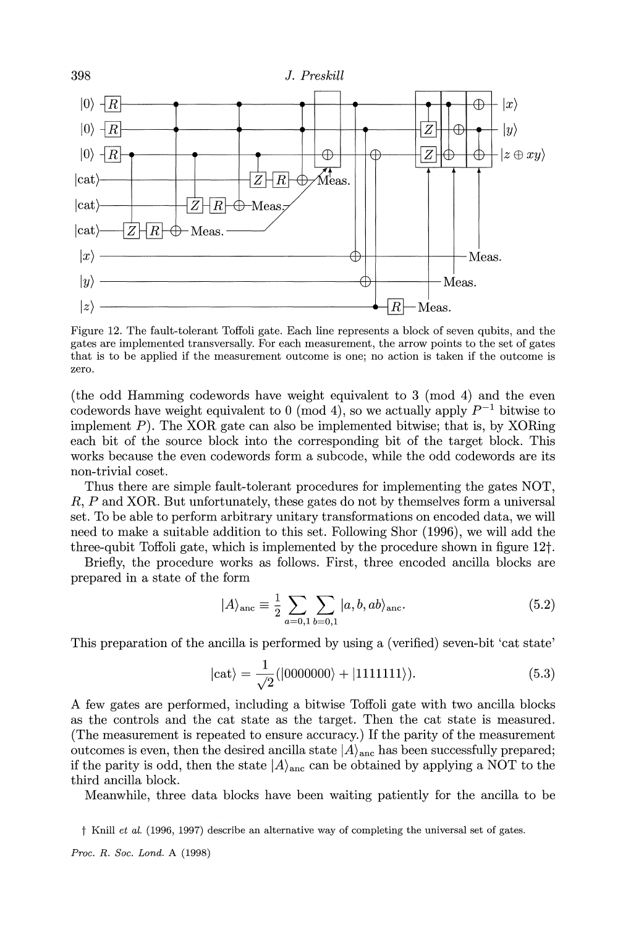

**Figure 12. The fault-tolerant Toffoli gate. Each line represents a block of seven qubits, and the gates are implemented transversally. For each measurement, the arrow points to the set of gates that is to be applied if the measurement outcome is one; no action is taken if the outcome is zero.** 

**(the odd Hamming codewords have weight equivalent to 3 (mod 4) and the even**  codewords have weight equivalent to 0 (mod 4), so we actually apply  $P^{-1}$  bitwise to **implement P). The XOR gate can also be implemented bitwise; that is, by XORing each bit of the source block into the corresponding bit of the target block. This works because the even codewords form a subcode, while the odd codewords are its non-trivial coset.** 

**Thus there are simple fault-tolerant procedures for implementing the gates NOT, R, P and XOR. But unfortunately, these gates do not by themselves form a universal set. To be able to perform arbitrary unitary transformations on encoded data, we will need to make a suitable addition to this set. Following Shor (1996), we will add the three-qubit Toffoli gate, which is implemented by the procedure shown in figure 12t.** 

**Briefly, the procedure works as follows. First, three encoded ancilla blocks are prepared in a state of the form** 

$$
|A\rangle_{\text{anc}} \equiv \frac{1}{2} \sum_{a=0,1} \sum_{b=0,1} |a, b, ab\rangle_{\text{anc}}.\tag{5.2}
$$

**This preparation of the ancilla is performed by using a (verified) seven-bit 'cat state'** 

$$
|\text{cat}\rangle = \frac{1}{\sqrt{2}}(|0000000\rangle + |1111111\rangle). \tag{5.3}
$$

**A few gates are performed, including a bitwise Toffoli gate with two ancilla blocks as the controls and the cat state as the target. Then the cat state is measured. (The measurement is repeated to ensure accuracy.) If the parity of the measurement**  outcomes is even, then the desired ancilla state  $|A\rangle$ <sub>anc</sub> has been successfully prepared; if the parity is odd, then the state  $|A\rangle$ <sub>anc</sub> can be obtained by applying a NOT to the **third ancilla block.** 

**Meanwhile, three data blocks have been waiting patiently for the ancilla to be** 

**t Knill et al. (1996, 1997) describe an alternative way of completing the universal set of gates.** 

**Proc. R. Soc. Lond. A (1998)**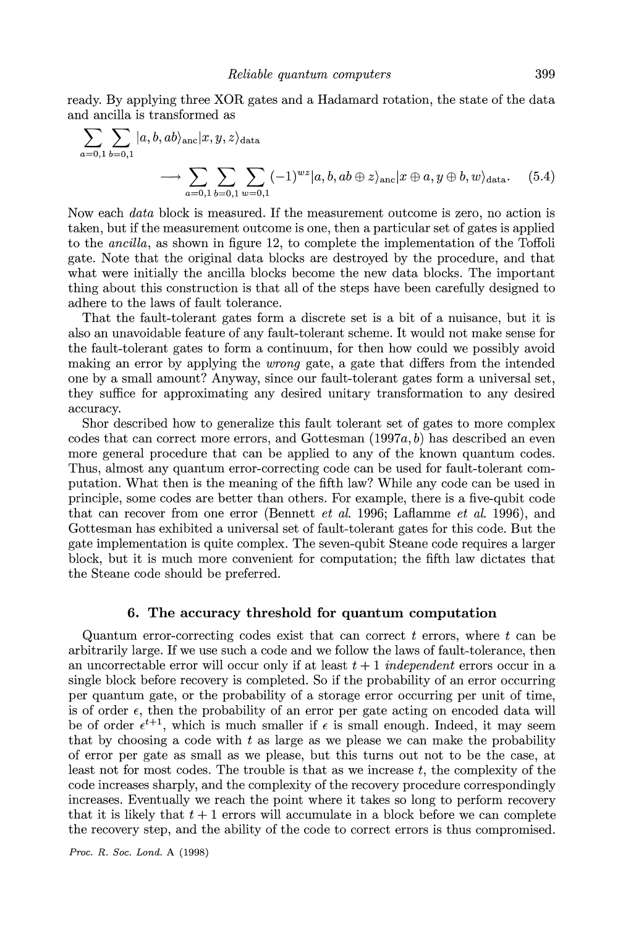**ready. By applying three XOR gates and a Hadamard rotation, the state of the data and ancilla is transformed as** 

$$
\sum_{a=0,1} \sum_{b=0,1} |a,b,ab\rangle_{\text{anc}} |x,y,z\rangle_{\text{data}}
$$
  

$$
\longrightarrow \sum_{a=0,1} \sum_{b=0,1} \sum_{w=0,1} (-1)^{wz} |a,b,ab \oplus z\rangle_{\text{anc}} |x \oplus a,y \oplus b,w\rangle_{\text{data}}.
$$
 (5.4)

**Now each data block is measured. If the measurement outcome is zero, no action is taken, but if the measurement outcome is one, then a particular set of gates is applied to the ancilla, as shown in figure 12, to complete the implementation of the Toffoli gate. Note that the original data blocks are destroyed by the procedure, and that what were initially the ancilla blocks become the new data blocks. The important thing about this construction is that all of the steps have been carefully designed to adhere to the laws of fault tolerance.** 

**That the fault-tolerant gates form a discrete set is a bit of a nuisance, but it is also an unavoidable feature of any fault-tolerant scheme. It would not make sense for the fault-tolerant gates to form a continuum, for then how could we possibly avoid making an error by applying the wrong gate, a gate that differs from the intended one by a small amount? Anyway, since our fault-tolerant gates form a universal set, they suffice for approximating any desired unitary transformation to any desired accuracy.** 

**Shor described how to generalize this fault tolerant set of gates to more complex codes that can correct more errors, and Gottesman (1997a, b) has described an even more general procedure that can be applied to any of the known quantum codes. Thus, almost any quantum error-correcting code can be used for fault-tolerant computation. What then is the meaning of the fifth law? While any code can be used in principle, some codes are better than others. For example, there is a five-qubit code that can recover from one error (Bennett et al. 1996; Laflamme et al. 1996), and Gottesman has exhibited a universal set of fault-tolerant gates for this code. But the gate implementation is quite complex. The seven-qubit Steane code requires a larger block, but it is much more convenient for computation; the fifth law dictates that the Steane code should be preferred.** 

# **6. The accuracy threshold for quantum computation**

**Quantum error-correcting codes exist that can correct t errors, where t can be arbitrarily large. If we use such a code and we follow the laws of fault-tolerance, then**  an uncorrectable error will occur only if at least  $t + 1$  *independent* errors occur in a **single block before recovery is completed. So if the probability of an error occurring per quantum gate, or the probability of a storage error occurring per unit of time,**  is of order  $\epsilon$ , then the probability of an error per gate acting on encoded data will be of order  $\epsilon^{t+1}$ , which is much smaller if  $\epsilon$  is small enough. Indeed, it may seem **that by choosing a code with t as large as we please we can make the probability of error per gate as small as we please, but this turns out not to be the case, at least not for most codes. The trouble is that as we increase t, the complexity of the code increases sharply, and the complexity of the recovery procedure correspondingly increases. Eventually we reach the point where it takes so long to perform recovery**  that it is likely that  $t + 1$  errors will accumulate in a block before we can complete **the recovery step, and the ability of the code to correct errors is thus compromised.**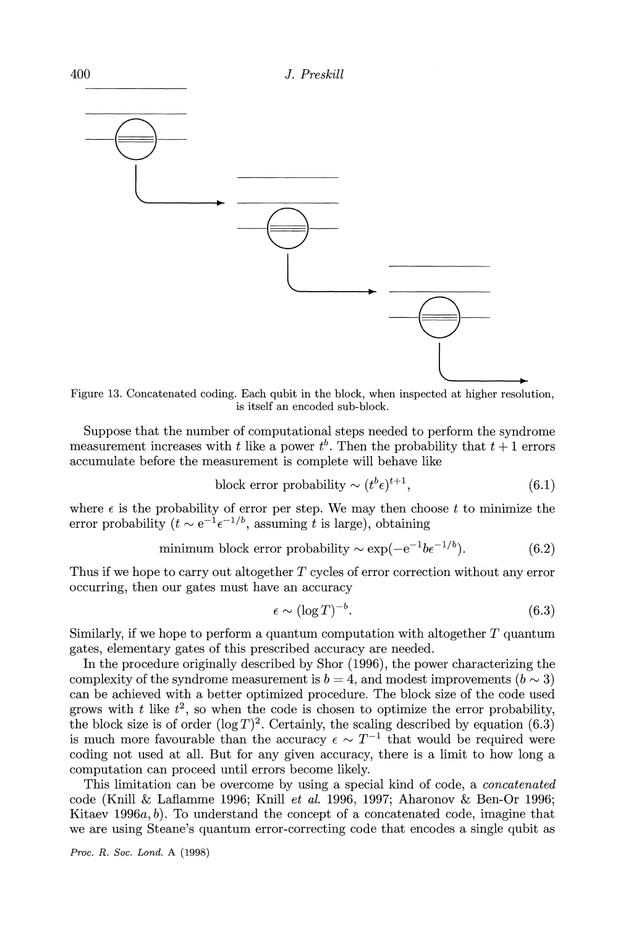

**Figure 13. Concatenated coding. Each qubit in the block, when inspected at higher resolution, is itself an encoded sub-block.** 

**Suppose that the number of computational steps needed to perform the syndrome**  measurement increases with t like a power  $t^b$ . Then the probability that  $t + 1$  errors **accumulate before the measurement is complete will behave like** 

block error probability 
$$
\sim (t^b \epsilon)^{t+1}
$$
, (6.1)

where  $\epsilon$  is the probability of error per step. We may then choose t to minimize the error probability ( $t \sim e^{-1} \epsilon^{-1/b}$ , assuming  $\bar{t}$  is large), obtaining

minimum block error probability 
$$
\sim \exp(-e^{-1}b\epsilon^{-1/b}).
$$
 (6.2)

**Thus if we hope to carry out altogether T cycles of error correction without any error occurring, then our gates must have an accuracy** 

$$
\epsilon \sim (\log T)^{-b}.\tag{6.3}
$$

**Similarly, if we hope to perform a quantum computation with altogether T quantum gates, elementary gates of this prescribed accuracy are needed.** 

**In the procedure originally described by Shor (1996), the power characterizing the**  complexity of the syndrome measurement is  $b = 4$ , and modest improvements  $(b \sim 3)$ **can be achieved with a better optimized procedure. The block size of the code used**  grows with t like  $t^2$ , so when the code is chosen to optimize the error probability, the block size is of order  $(\log T)^2$ . Certainly, the scaling described by equation  $(6.3)$ is much more favourable than the accuracy  $\epsilon \sim T^{-1}$  that would be required were **coding not used at all. But for any given accuracy, there is a limit to how long a computation can proceed until errors become likely.** 

**This limitation can be overcome by using a special kind of code, a concatenated code (Knill & Laflamme 1996; Knill et al. 1996, 1997; Aharonov & Ben-Or 1996; Kitaev 1996a, b). To understand the concept of a concatenated code, imagine that we are using Steane's quantum error-correcting code that encodes a single qubit as**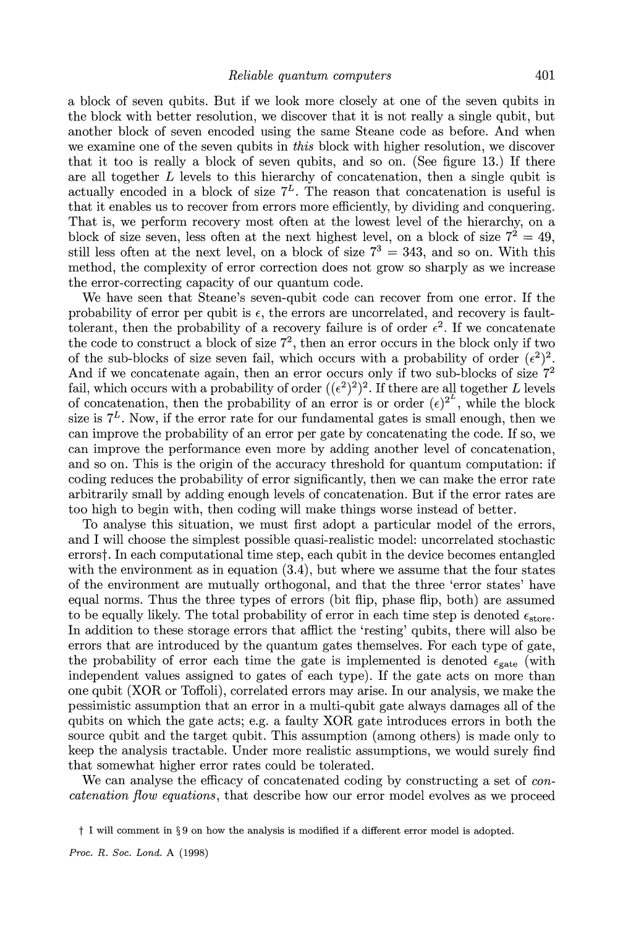**a block of seven qubits. But if we look more closely at one of the seven qubits in the block with better resolution, we discover that it is not really a single qubit, but another block of seven encoded using the same Steane code as before. And when we examine one of the seven qubits in this block with higher resolution, we discover that it too is really a block of seven qubits, and so on. (See figure 13.) If there are all together L levels to this hierarchy of concatenation, then a single qubit is**  actually encoded in a block of size  $7^L$ . The reason that concatenation is useful is **that it enables us to recover from errors more efficiently, by dividing and conquering. That is, we perform recovery most often at the lowest level of the hierarchy, on a**  block of size seven, less often at the next highest level, on a block of size  $7^2 = 49$ , still less often at the next level, on a block of size  $7^3 = 343$ , and so on. With this **method, the complexity of error correction does not grow so sharply as we increase the error-correcting capacity of our quantum code.** 

**We have seen that Steane's seven-qubit code can recover from one error. If the**  probability of error per qubit is  $\epsilon$ , the errors are uncorrelated, and recovery is faulttolerant, then the probability of a recovery failure is of order  $\epsilon^2$ . If we concatenate **the code to construct a block of size 72, then an error occurs in the block only if two**  of the sub-blocks of size seven fail, which occurs with a probability of order  $(\epsilon^2)^2$ . And if we concatenate again, then an error occurs only if two sub-blocks of size  $7^2$ fail, which occurs with a probability of order  $((e^2)^2)^2$ . If there are all together L levels of concatenation, then the probability of an error is or order  $(\epsilon)^{2^L}$ , while the block size is  $7^L$ . Now, if the error rate for our fundamental gates is small enough, then we **can improve the probability of an error per gate by concatenating the code. If so, we can improve the performance even more by adding another level of concatenation, and so on. This is the origin of the accuracy threshold for quantum computation: if coding reduces the probability of error significantly, then we can make the error rate arbitrarily small by adding enough levels of concatenation. But if the error rates are too high to begin with, then coding will make things worse instead of better.** 

**To analyse this situation, we must first adopt a particular model of the errors, and I will choose the simplest possible quasi-realistic model: uncorrelated stochastic errorst. In each computational time step, each qubit in the device becomes entangled with the environment as in equation (3.4), but where we assume that the four states of the environment are mutually orthogonal, and that the three 'error states' have equal norms. Thus the three types of errors (bit flip, phase flip, both) are assumed**  to be equally likely. The total probability of error in each time step is denoted  $\epsilon_{\text{store}}$ . **In addition to these storage errors that afflict the 'resting' qubits, there will also be errors that are introduced by the quantum gates themselves. For each type of gate,**  the probability of error each time the gate is implemented is denoted  $\epsilon_{\text{gate}}$  (with **independent values assigned to gates of each type). If the gate acts on more than one qubit (XOR or Toffoli), correlated errors may arise. In our analysis, we make the pessimistic assumption that an error in a multi-qubit gate always damages all of the qubits on which the gate acts; e.g. a faulty XOR gate introduces errors in both the source qubit and the target qubit. This assumption (among others) is made only to keep the analysis tractable. Under more realistic assumptions, we would surely find that somewhat higher error rates could be tolerated.** 

We can analyse the efficacy of concatenated coding by constructing a set of *con***catenation flow equations, that describe how our error model evolves as we proceed** 

**t I will comment in ? 9 on how the analysis is modified if a different error model is adopted.**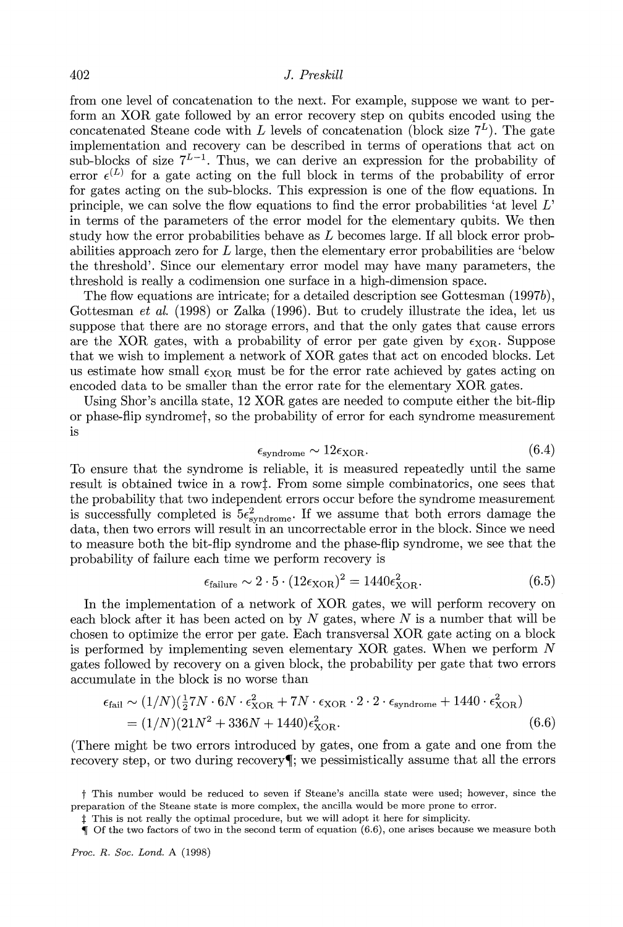**from one level of concatenation to the next. For example, suppose we want to perform an XOR gate followed by an error recovery step on qubits encoded using the**  concatenated Steane code with L levels of concatenation (block size  $7^L$ ). The gate **implementation and recovery can be described in terms of operations that act on**  sub-blocks of size  $7^{L-1}$ . Thus, we can derive an expression for the probability of error  $\epsilon^{(L)}$  for a gate acting on the full block in terms of the probability of error **for gates acting on the sub-blocks. This expression is one of the flow equations. In principle, we can solve the flow equations to find the error probabilities 'at level L' in terms of the parameters of the error model for the elementary qubits. We then study how the error probabilities behave as L becomes large. If all block error probabilities approach zero for L large, then the elementary error probabilities are 'below the threshold'. Since our elementary error model may have many parameters, the threshold is really a codimension one surface in a high-dimension space.** 

**The flow equations are intricate; for a detailed description see Gottesman (1997b), Gottesman et al. (1998) or Zalka (1996). But to crudely illustrate the idea, let us suppose that there are no storage errors, and that the only gates that cause errors**  are the XOR gates, with a probability of error per gate given by  $\epsilon_{XOR}$ . Suppose **that we wish to implement a network of XOR gates that act on encoded blocks. Let**  us estimate how small  $\epsilon_{XOR}$  must be for the error rate achieved by gates acting on **encoded data to be smaller than the error rate for the elementary XOR gates.** 

**Using Shor's ancilla state, 12 XOR gates are needed to compute either the bit-flip or phase-flip syndromet, so the probability of error for each syndrome measurement is** 

$$
\epsilon_{\text{syndrome}} \sim 12 \epsilon_{\text{XOR}}.\tag{6.4}
$$

**To ensure that the syndrome is reliable, it is measured repeatedly until the same result is obtained twice in a rowt. From some simple combinatorics, one sees that the probability that two independent errors occur before the syndrome measurement**  is successfully completed is  $5\epsilon_{\text{syndrome}}^2$ . If we assume that both errors damage the **data, then two errors will result in an uncorrectable error in the block. Since we need to measure both the bit-flip syndrome and the phase-flip syndrome, we see that the probability of failure each time we perform recovery is** 

$$
\epsilon_{\text{failure}} \sim 2 \cdot 5 \cdot (12 \epsilon_{\text{XOR}})^2 = 1440 \epsilon_{\text{XOR}}^2. \tag{6.5}
$$

**In the implementation of a network of XOR gates, we will perform recovery on each block after it has been acted on by N gates, where N is a number that will be chosen to optimize the error per gate. Each transversal XOR gate acting on a block is performed by implementing seven elementary XOR gates. When we perform N gates followed by recovery on a given block, the probability per gate that two errors accumulate in the block is no worse than** 

$$
\epsilon_{\text{fail}} \sim (1/N)(\frac{1}{2}7N \cdot 6N \cdot \epsilon_{\text{XOR}}^2 + 7N \cdot \epsilon_{\text{XOR}} \cdot 2 \cdot 2 \cdot \epsilon_{\text{syndrome}} + 1440 \cdot \epsilon_{\text{XOR}}^2)
$$
  
=  $(1/N)(21N^2 + 336N + 1440)\epsilon_{\text{XOR}}^2$ . (6.6)

**(There might be two errors introduced by gates, one from a gate and one from the recovery step, or two during recovery?; we pessimistically assume that all the errors** 

**t This number would be reduced to seven if Steane's ancilla state were used; however, since the preparation of the Steane state is more complex, the ancilla would be more prone to error.** 

**t This is not really the optimal procedure, but we will adopt it here for simplicity.** 

**<sup>?</sup> Of the two factors of two in the second term of equation (6.6), one arises because we measure both**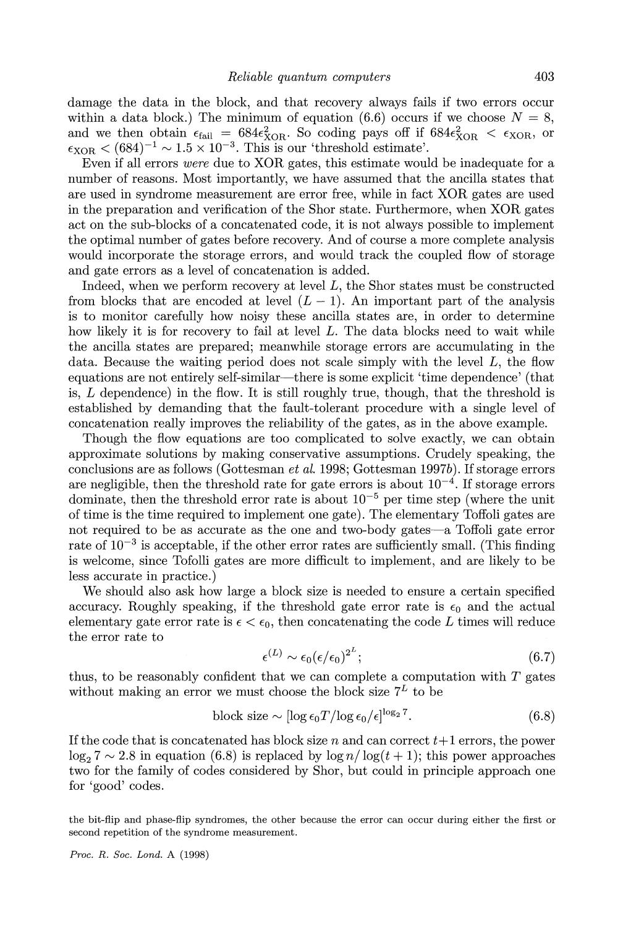**damage the data in the block, and that recovery always fails if two errors occur**  within a data block.) The minimum of equation  $(6.6)$  occurs if we choose  $N = 8$ , and we then obtain  $\epsilon_{\text{fail}} = 684 \epsilon_{XOR}^2$ . So coding pays off if  $684 \epsilon_{XOR}^2 < \epsilon_{XOR}$ , or  $\epsilon_{\text{XOR}} < (684)^{-1} \sim 1.5 \times 10^{-3}$ . This is our 'threshold estimate'.

**Even if all errors were due to XOR gates, this estimate would be inadequate for a number of reasons. Most importantly, we have assumed that the ancilla states that are used in syndrome measurement are error free, while in fact XOR gates are used in the preparation and verification of the Shor state. Furthermore, when XOR gates act on the sub-blocks of a concatenated code, it is not always possible to implement the optimal number of gates before recovery. And of course a more complete analysis would incorporate the storage errors, and would track the coupled flow of storage and gate errors as a level of concatenation is added.** 

**Indeed, when we perform recovery at level L, the Shor states must be constructed**  from blocks that are encoded at level  $(L - 1)$ . An important part of the analysis **is to monitor carefully how noisy these ancilla states are, in order to determine how likely it is for recovery to fail at level L. The data blocks need to wait while the ancilla states are prepared; meanwhile storage errors are accumulating in the data. Because the waiting period does not scale simply with the level L, the flow equations are not entirely self-similar-there is some explicit 'time dependence' (that is, L dependence) in the flow. It is still roughly true, though, that the threshold is established by demanding that the fault-tolerant procedure with a single level of concatenation really improves the reliability of the gates, as in the above example.** 

**Though the flow equations are too complicated to solve exactly, we can obtain approximate solutions by making conservative assumptions. Crudely speaking, the conclusions are as follows (Gottesman et al. 1998; Gottesman 1997b). If storage errors**  are negligible, then the threshold rate for gate errors is about  $10^{-4}$ . If storage errors **dominate, then the threshold error rate is about 10-5 per time step (where the unit of time is the time required to implement one gate). The elementary Toffoli gates are not required to be as accurate as the one and two-body gates-a Toffoli gate error**  rate of  $10^{-3}$  is acceptable, if the other error rates are sufficiently small. (This finding **is welcome, since Tofolli gates are more difficult to implement, and are likely to be less accurate in practice.)** 

**We should also ask how large a block size is needed to ensure a certain specified**  accuracy. Roughly speaking, if the threshold gate error rate is  $\epsilon_0$  and the actual elementary gate error rate is  $\epsilon < \epsilon_0$ , then concatenating the code L times will reduce **the error rate to** 

$$
\epsilon^{(L)} \sim \epsilon_0 (\epsilon/\epsilon_0)^{2^L};\tag{6.7}
$$

**thus, to be reasonably confident that we can complete a computation with T gates**  without making an error we must choose the block size  $7^L$  to be

block size ~ [log 
$$
\epsilon_0 T
$$
/log  $\epsilon_0/\epsilon$ ] <sup>log<sub>2</sub>7</sup>. (6.8)

If the code that is concatenated has block size  $n$  and can correct  $t+1$  errors, the power  $\log_2 7 \sim 2.8$  in equation (6.8) is replaced by  $\log n / \log(t + 1)$ ; this power approaches **two for the family of codes considered by Shor, but could in principle approach one for 'good' codes.** 

**the bit-flip and phase-flip syndromes, the other because the error can occur during either the first or second repetition of the syndrome measurement.**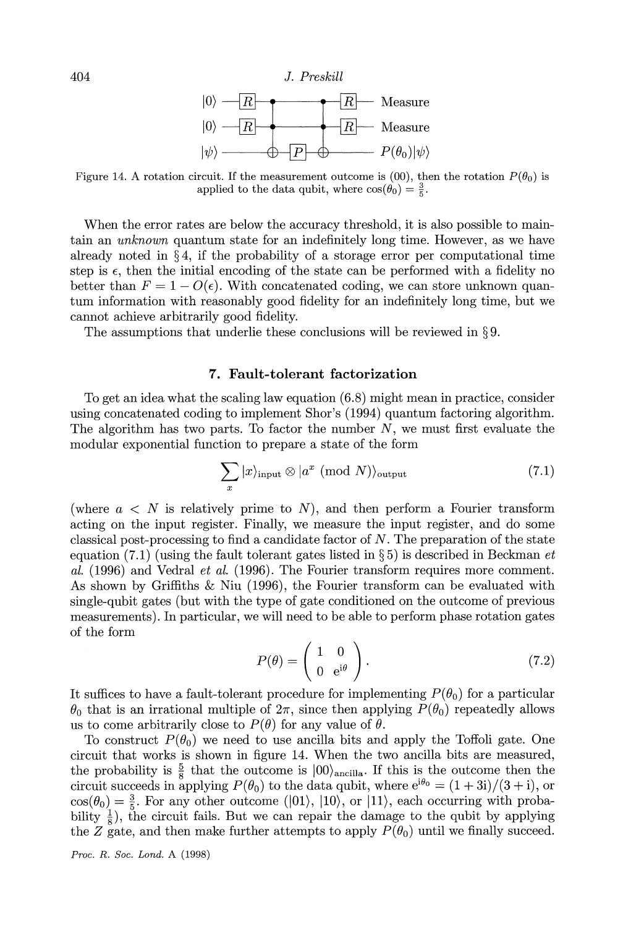**404 J. Preskill** 



Figure 14. A rotation circuit. If the measurement outcome is (00), then the rotation  $P(\theta_0)$  is applied to the data qubit, where  $\cos(\theta_0) = \frac{3}{5}$ .

When the error rates are below the accuracy threshold, it is also possible to main**tain an unknown quantum state for an indefinitely long time. However, as we have already noted in ? 4, if the probability of a storage error per computational time**  step is  $\epsilon$ , then the initial encoding of the state can be performed with a fidelity no better than  $F = 1 - O(\epsilon)$ . With concatenated coding, we can store unknown quan**tum information with reasonably good fidelity for an indefinitely long time, but we cannot achieve arbitrarily good fidelity.** 

The assumptions that underlie these conclusions will be reviewed in §9.

#### **7. Fault-tolerant factorization**

**To get an idea what the scaling law equation (6.8) might mean in practice, consider using concatenated coding to implement Shor's (1994) quantum factoring algorithm. The algorithm has two parts. To factor the number N, we must first evaluate the modular exponential function to prepare a state of the form** 

$$
\sum_{x} |x\rangle_{\text{input}} \otimes |a^x \pmod{N}\rangle_{\text{output}}
$$
 (7.1)

(where  $a < N$  is relatively prime to  $N$ ), and then perform a Fourier transform **acting on the input register. Finally, we measure the input register, and do some classical post-processing to find a candidate factor of N. The preparation of the state**  equation  $(7.1)$  (using the fault tolerant gates listed in  $\S 5$ ) is described in Beckman *et* **al. (1996) and Vedral et al. (1996). The Fourier transform requires more comment. As shown by Griffiths & Niu (1996), the Fourier transform can be evaluated with single-qubit gates (but with the type of gate conditioned on the outcome of previous measurements). In particular, we will need to be able to perform phase rotation gates of the form** 

$$
P(\theta) = \begin{pmatrix} 1 & 0 \\ 0 & e^{i\theta} \end{pmatrix}.
$$
 (7.2)

It suffices to have a fault-tolerant procedure for implementing  $P(\theta_0)$  for a particular  $\theta_0$  that is an irrational multiple of  $2\pi$ , since then applying  $P(\theta_0)$  repeatedly allows us to come arbitrarily close to  $P(\theta)$  for any value of  $\theta$ .

To construct  $P(\theta_0)$  we need to use ancilla bits and apply the Toffoli gate. One **circuit that works is shown in figure 14. When the two ancilla bits are measured,**  the probability is  $\frac{5}{8}$  that the outcome is  $|00\rangle$ <sub>ancilla</sub>. If this is the outcome then the circuit succeeds in applying  $P(\theta_0)$  to the data qubit, where  $e^{i\theta_0} = (1+3i)/(3+i)$ , or  $\cos(\theta_0) = \frac{3}{5}$ . For any other outcome ( $|01\rangle$ ,  $|10\rangle$ , or  $|11\rangle$ , each occurring with probability  $\frac{1}{8}$ , the circuit fails. But we can repair the damage to the qubit by applying the Z gate, and then make further attempts to apply  $P(\theta_0)$  until we finally succeed.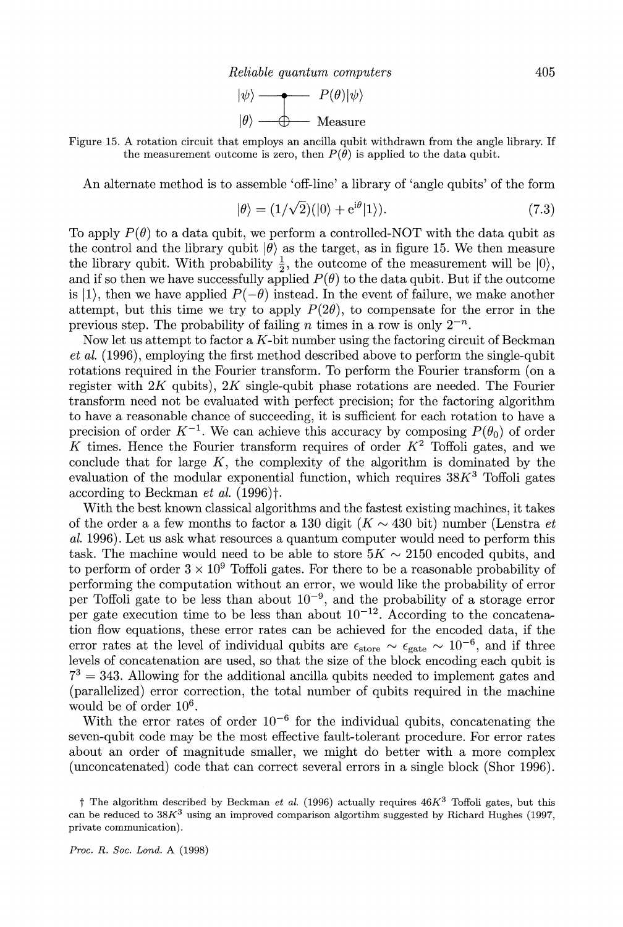**Reliable quantum computers 405** 



**Figure 15. A rotation circuit that employs an ancilla qubit withdrawn from the angle library. If**  the measurement outcome is zero, then  $P(\theta)$  is applied to the data qubit.

**An alternate method is to assemble 'off-line' a library of 'angle qubits' of the form** 

$$
|\theta\rangle = (1/\sqrt{2})(|0\rangle + e^{i\theta}|1\rangle). \tag{7.3}
$$

To apply  $P(\theta)$  to a data qubit, we perform a controlled-NOT with the data qubit as the control and the library qubit  $|\bar{\theta}\rangle$  as the target, as in figure 15. We then measure the library qubit. With probability  $\frac{1}{2}$ , the outcome of the measurement will be  $|0\rangle$ , and if so then we have successfully applied  $P(\theta)$  to the data qubit. But if the outcome is  $|1\rangle$ , then we have applied  $P(-\theta)$  instead. In the event of failure, we make another attempt, but this time we try to apply  $P(2\theta)$ , to compensate for the error in the previous step. The probability of failing n times in a row is only  $2^{-n}$ .

**Now let us attempt to factor a K-bit number using the factoring circuit of Beckman et al. (1996), employing the first method described above to perform the single-qubit rotations required in the Fourier transform. To perform the Fourier transform (on a register with 2K qubits), 2K single-qubit phase rotations are needed. The Fourier transform need not be evaluated with perfect precision; for the factoring algorithm to have a reasonable chance of succeeding, it is sufficient for each rotation to have a**  precision of order  $K^{-1}$ . We can achieve this accuracy by composing  $P(\theta_0)$  of order **K times. Hence the Fourier transform requires of order K2 Toffoli gates, and we**  conclude that for large  $K$ , the complexity of the algorithm is dominated by the **evaluation of the modular exponential function, which requires 38K3 Toffoli gates according to Beckman et al. (1996)t.** 

**With the best known classical algorithms and the fastest existing machines, it takes**  of the order a a few months to factor a 130 digit ( $K \sim 430$  bit) number (Lenstra *et* **al. 1996). Let us ask what resources a quantum computer would need to perform this**  task. The machine would need to be able to store  $5K \sim 2150$  encoded qubits, and to perform of order  $3 \times 10^9$  Toffoli gates. For there to be a reasonable probability of **performing the computation without an error, we would like the probability of error**  per Toffoli gate to be less than about  $10^{-9}$ , and the probability of a storage error per gate execution time to be less than about  $10^{-12}$ . According to the concatena**tion flow equations, these error rates can be achieved for the encoded data, if the**  error rates at the level of individual qubits are  $\epsilon_{\text{store}} \sim \epsilon_{\text{gate}} \sim 10^{-6}$ , and if three **levels of concatenation are used, so that the size of the block encoding each qubit is 73 = 343. Allowing for the additional ancilla qubits needed to implement gates and (parallelized) error correction, the total number of qubits required in the machine would be of order 106.** 

With the error rates of order  $10^{-6}$  for the individual qubits, concatenating the **seven-qubit code may be the most effective fault-tolerant procedure. For error rates about an order of magnitude smaller, we might do better with a more complex (unconcatenated) code that can correct several errors in a single block (Shor 1996).** 

**t The algorithm described by Beckman et al. (1996) actually requires 46K3 Toffoli gates, but this**  can be reduced to  $38K^3$  using an improved comparison algortihm suggested by Richard Hughes (1997, **private communication).**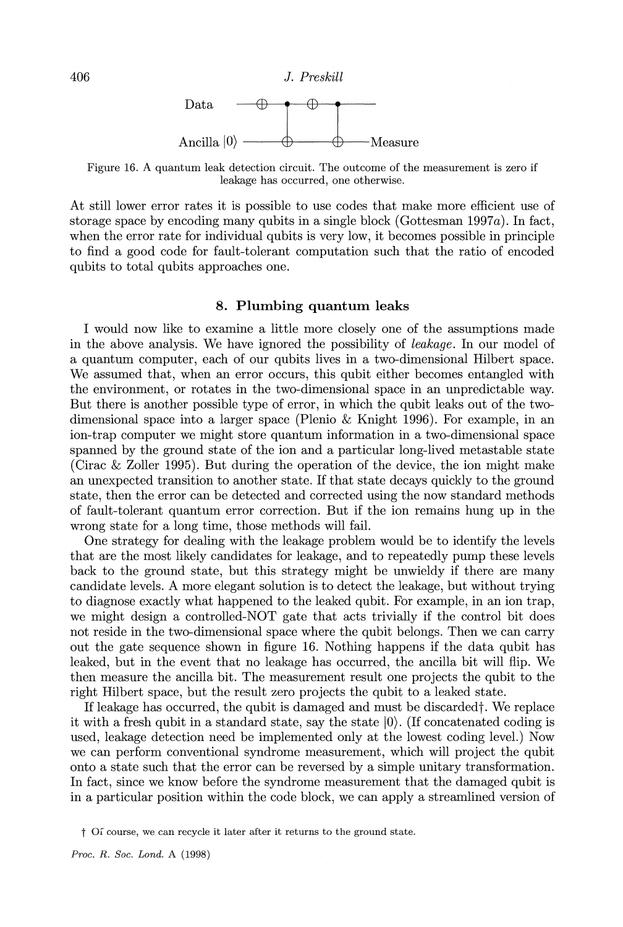

**Figure 16. A quantum leak detection circuit. The outcome of the measurement is zero if leakage has occurred, one otherwise.** 

**At still lower error rates it is possible to use codes that make more efficient use of storage space by encoding many qubits in a single block (Gottesman 1997a). In fact, when the error rate for individual qubits is very low, it becomes possible in principle to find a good code for fault-tolerant computation such that the ratio of encoded qubits to total qubits approaches one.** 

#### **8. Plumbing quantum leaks**

**I would now like to examine a little more closely one of the assumptions made**  in the above analysis. We have ignored the possibility of *leakage*. In our model of **a quantum computer, each of our qubits lives in a two-dimensional Hilbert space. We assumed that, when an error occurs, this qubit either becomes entangled with the environment, or rotates in the two-dimensional space in an unpredictable way. But there is another possible type of error, in which the qubit leaks out of the twodimensional space into a larger space (Plenio & Knight 1996). For example, in an ion-trap computer we might store quantum information in a two-dimensional space spanned by the ground state of the ion and a particular long-lived metastable state (Cirac & Zoller 1995). But during the operation of the device, the ion might make an unexpected transition to another state. If that state decays quickly to the ground state, then the error can be detected and corrected using the now standard methods of fault-tolerant quantum error correction. But if the ion remains hung up in the wrong state for a long time, those methods will fail.** 

**One strategy for dealing with the leakage problem would be to identify the levels that are the most likely candidates for leakage, and to repeatedly pump these levels back to the ground state, but this strategy might be unwieldy if there are many candidate levels. A more elegant solution is to detect the leakage, but without trying to diagnose exactly what happened to the leaked qubit. For example, in an ion trap, we might design a controlled-NOT gate that acts trivially if the control bit does not reside in the two-dimensional space where the qubit belongs. Then we can carry out the gate sequence shown in figure 16. Nothing happens if the data qubit has leaked, but in the event that no leakage has occurred, the ancilla bit will flip. We then measure the ancilla bit. The measurement result one projects the qubit to the right Hilbert space, but the result zero projects the qubit to a leaked state.** 

**If leakage has occurred, the qubit is damaged and must be discardedt. We replace it with a fresh qubit in a standard state, say the state 10). (If concatenated coding is used, leakage detection need be implemented only at the lowest coding level.) Now we can perform conventional syndrome measurement, which will project the qubit onto a state such that the error can be reversed by a simple unitary transformation. In fact, since we know before the syndrome measurement that the damaged qubit is in a particular position within the code block, we can apply a streamlined version of** 

**t Of course, we can recycle it later after it returns to the ground state.**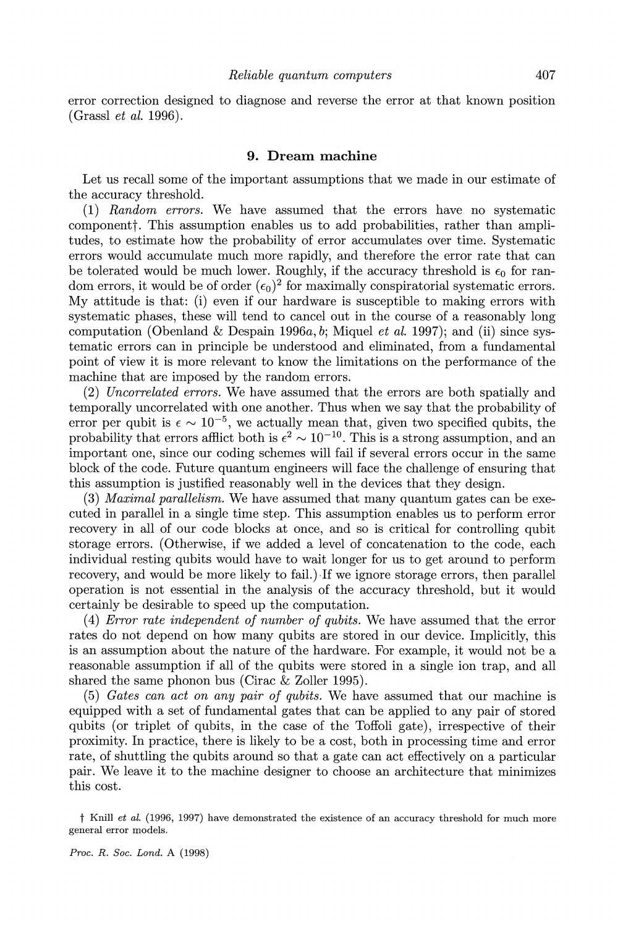**error correction designed to diagnose and reverse the error at that known position (Grassl et al. 1996).** 

# **9. Dream machine**

Let us recall some of the important assumptions that we made in our estimate of **the accuracy threshold.** 

**(1) Random errors. We have assumed that the errors have no systematic componentt. This assumption enables us to add probabilities, rather than amplitudes, to estimate how the probability of error accumulates over time. Systematic errors would accumulate much more rapidly, and therefore the error rate that can**  be tolerated would be much lower. Roughly, if the accuracy threshold is  $\epsilon_0$  for random errors, it would be of order  $(\epsilon_0)^2$  for maximally conspiratorial systematic errors. **My attitude is that: (i) even if our hardware is susceptible to making errors with systematic phases, these will tend to cancel out in the course of a reasonably long computation (Obenland & Despain 1996a, b; Miquel et al. 1997); and (ii) since systematic errors can in principle be understood and eliminated, from a fundamental point of view it is more relevant to know the limitations on the performance of the machine that are imposed by the random errors.** 

**(2) Uncorrelated errors. We have assumed that the errors are both spatially and temporally uncorrelated with one another. Thus when we say that the probability of**  error per qubit is  $\epsilon \sim 10^{-5}$ , we actually mean that, given two specified qubits, the probability that errors afflict both is  $\epsilon^2 \sim 10^{-10}$ . This is a strong assumption, and an **important one, since our coding schemes will fail if several errors occur in the same block of the code. Future quantum engineers will face the challenge of ensuring that this assumption is justified reasonably well in the devices that they design.** 

**(3) Maximal parallelism. We have assumed that many quantum gates can be executed in parallel in a single time step. This assumption enables us to perform error recovery in all of our code blocks at once, and so is critical for controlling qubit storage errors. (Otherwise, if we added a level of concatenation to the code, each individual resting qubits would have to wait longer for us to get around to perform recovery, and would be more likely to fail.) If we ignore storage errors, then parallel operation is not essential in the analysis of the accuracy threshold, but it would certainly be desirable to speed up the computation.** 

**(4) Error rate independent of number of qubits. We have assumed that the error rates do not depend on how many qubits are stored in our device. Implicitly, this is an assumption about the nature of the hardware. For example, it would not be a reasonable assumption if all of the qubits were stored in a single ion trap, and all shared the same phonon bus (Cirac & Zoller 1995).** 

**(5) Gates can act on any pair of qubits. We have assumed that our machine is equipped with a set of fundamental gates that can be applied to any pair of stored qubits (or triplet of qubits, in the case of the Toffoli gate), irrespective of their proximity. In practice, there is likely to be a cost, both in processing time and error rate, of shuttling the qubits around so that a gate can act effectively on a particular pair. We leave it to the machine designer to choose an architecture that minimizes this cost.** 

**t Knill et al. (1996, 1997) have demonstrated the existence of an accuracy threshold for much more general error models.**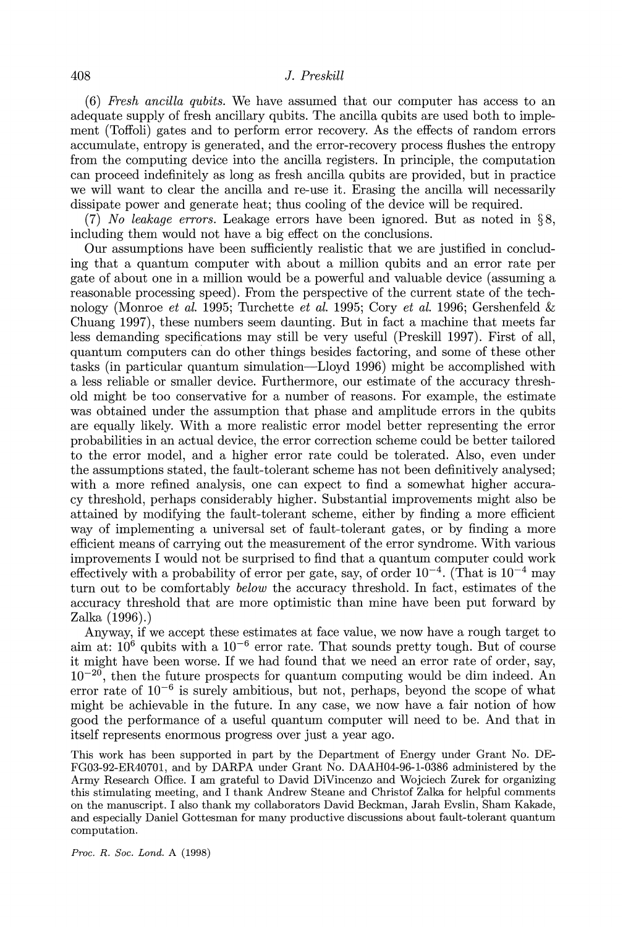**(6) Fresh ancilla qubits. We have assumed that our computer has access to an adequate supply of fresh ancillary qubits. The ancilla qubits are used both to implement (Toffoli) gates and to perform error recovery. As the effects of random errors accumulate, entropy is generated, and the error-recovery process flushes the entropy from the computing device into the ancilla registers. In principle, the computation can proceed indefinitely as long as fresh ancilla qubits are provided, but in practice**  we will want to clear the ancilla and re-use it. Erasing the ancilla will necessarily **dissipate power and generate heat; thus cooling of the device will be required.** 

**(7) No leakage errors. Leakage errors have been ignored. But as noted in ?8, including them would not have a big effect on the conclusions.** 

**Our assumptions have been sufficiently realistic that we are justified in concluding that a quantum computer with about a million qubits and an error rate per gate of about one in a million would be a powerful and valuable device (assuming a reasonable processing speed). From the perspective of the current state of the technology (Monroe et al. 1995; Turchette et al. 1995; Cory et al. 1996; Gershenfeld & Chuang 1997), these numbers seem daunting. But in fact a machine that meets far less demanding specifications may still be very useful (Preskill 1997). First of all, quantum computers can do other things besides factoring, and some of these other tasks (in particular quantum simulation-Lloyd 1996) might be accomplished with a less reliable or smaller device. Furthermore, our estimate of the accuracy threshold might be too conservative for a number of reasons. For example, the estimate was obtained under the assumption that phase and amplitude errors in the qubits are equally likely. With a more realistic error model better representing the error probabilities in an actual device, the error correction scheme could be better tailored to the error model, and a higher error rate could be tolerated. Also, even under the assumptions stated, the fault-tolerant scheme has not been definitively analysed;**  with a more refined analysis, one can expect to find a somewhat higher accura**cy threshold, perhaps considerably higher. Substantial improvements might also be attained by modifying the fault-tolerant scheme, either by finding a more efficient way of implementing a universal set of fault-tolerant gates, or by finding a more efficient means of carrying out the measurement of the error syndrome. With various improvements I would not be surprised to find that a quantum computer could work**  effectively with a probability of error per gate, say, of order  $10^{-4}$ . (That is  $10^{-4}$  may **turn out to be comfortably below the accuracy threshold. In fact, estimates of the accuracy threshold that are more optimistic than mine have been put forward by Zalka (1996).)** 

**Anyway, if we accept these estimates at face value, we now have a rough target to**  aim at:  $10^6$  qubits with a  $10^{-6}$  error rate. That sounds pretty tough. But of course **it might have been worse. If we had found that we need an error rate of order, say,**   $10^{-20}$ , then the future prospects for quantum computing would be dim indeed. An error rate of  $10^{-6}$  is surely ambitious, but not, perhaps, beyond the scope of what **might be achievable in the future. In any case, we now have a fair notion of how good the performance of a useful quantum computer will need to be. And that in itself represents enormous progress over just a year ago.** 

**This work has been supported in part by the Department of Energy under Grant No. DE-FG03-92-ER40701, and by DARPA under Grant No. DAAH04-96-1-0386 administered by the Army Research Office. I am grateful to David DiVincenzo and Wojciech Zurek for organizing this stimulating meeting, and I thank Andrew Steane and Christof Zalka for helpful comments on the manuscript. I also thank my collaborators David Beckman, Jarah Evslin, Sham Kakade, and especially Daniel Gottesman for many productive discussions about fault-tolerant quantum computation.**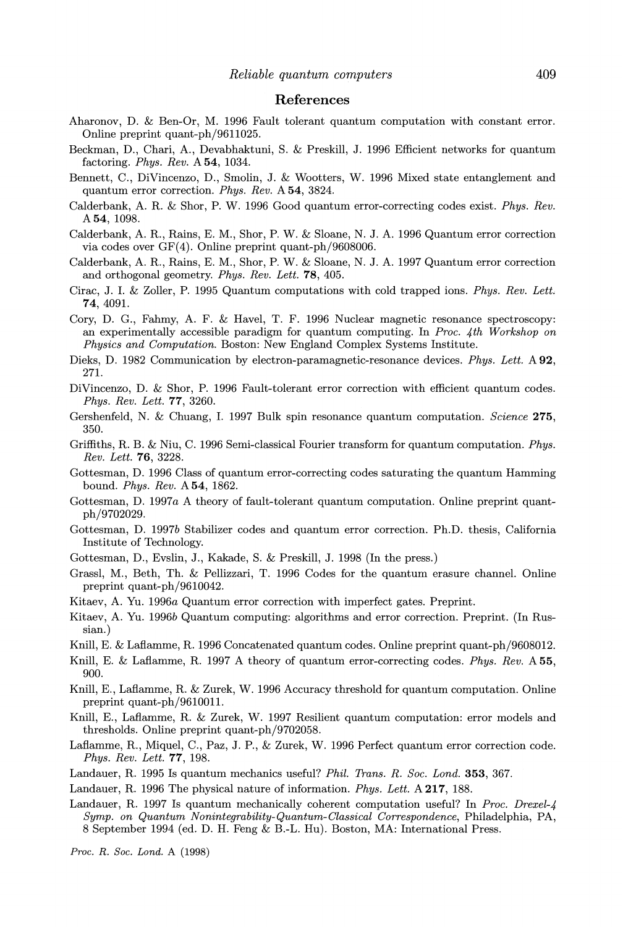#### **References**

- **Aharonov, D. & Ben-Or, M. 1996 Fault tolerant quantum computation with constant error. Online preprint quant-ph/9611025.**
- **Beckman, D., Chari, A., Devabhaktuni, S. & Preskill, J. 1996 Efficient networks for quantum factoring. Phys. Rev. A 54, 1034.**
- **Bennett, C., DiVincenzo, D., Smolin, J. & Wootters, W. 1996 Mixed state entanglement and quantum error correction. Phys. Rev. A 54, 3824.**
- **Calderbank, A. R. & Shor, P. W. 1996 Good quantum error-correcting codes exist. Phys. Rev. A54, 1098.**
- **Calderbank, A. R., Rains, E. M., Shor, P. W. & Sloane, N. J. A. 1996 Quantum error correction via codes over GF(4). Online preprint quant-ph/9608006.**
- **Calderbank, A. R., Rains, E. M., Shor, P. W. & Sloane, N. J. A. 1997 Quantum error correction and orthogonal geometry. Phys. Rev. Lett. 78, 405.**
- **Cirac, J. I. & Zoller, P. 1995 Quantum computations with cold trapped ions. Phys. Rev. Lett. 74, 4091.**
- **Gory, D. G., Fahmy, A. F. & Havel, T. F. 1996 Nuclear magnetic resonance spectroscopy: an experimentally accessible paradigm for quantum computing. In Proc. 4th Workshop on Physics and Computation. Boston: New England Complex Systems Institute.**
- **Dieks, D. 1982 Communication by electron-paramagnetic-resonance devices. Phys. Lett. A 92, 271.**
- **DiVincenzo, D. & Shor, P. 1996 Fault-tolerant error correction with efficient quantum codes. Phys. Rev. Lett. 77, 3260.**
- **Gershenfeld, N. & Chuang, I. 1997 Bulk spin resonance quantum computation. Science 275, 350.**
- **Griffiths, R. B. & Niu, C. 1996 Semi-classical Fourier transform for quantum computation. Phys. Rev. Lett. 76, 3228.**
- **Gottesman, D. 1996 Class of quantum error-correcting codes saturating the quantum Hamming bound. Phys. Rev. A 54, 1862.**
- Gottesman, D. 1997*a* A theory of fault-tolerant quantum computation. Online preprint quant**ph/9702029.**
- **Gottesman, D. 1997b Stabilizer codes and quantum error correction. Ph.D. thesis, California Institute of Technology.**
- **Gottesman, D., Evslin, J., Kakade, S. & Preskill, J. 1998 (In the press.)**
- **Grassl, M., Beth, Th. & Pellizzari, T. 1996 Codes for the quantum erasure channel. Online preprint quant-ph/9610042.**
- **Kitaev, A. Yu. 1996a Quantum error correction with imperfect gates. Preprint.**
- **Kitaev, A. Yu. 1996b Quantum computing: algorithms and error correction. Preprint. (In Russian.)**
- **Knill, E. & Laflamme, R. 1996 Concatenated quantum codes. Online preprint quant-ph/9608012.**
- **Knill, E. & Laflamme, R. 1997 A theory of quantum error-correcting codes. Phys. Rev. A 55, 900.**
- **Knill, E., Laflamme, R. & Zurek, W. 1996 Accuracy threshold for quantum computation. Online preprint quant-ph/9610011.**
- **Knill, E., Laflamme, R. & Zurek, W. 1997 Resilient quantum computation: error models and thresholds. Online preprint quant-ph/9702058.**
- **Laflamme, R., Miquel, C., Paz, J. P., & Zurek, W. 1996 Perfect quantum error correction code. Phys. Rev. Lett. 77, 198.**
- **Landauer, R. 1995 Is quantum mechanics useful? Phil. Trans. R. Soc. Lond. 353, 367.**
- **Landauer, R. 1996 The physical nature of information. Phys. Lett. A 217, 188.**
- **Landauer, R. 1997 Is quantum mechanically coherent computation useful? In Proc. Drexel-4 Symp. on Quantum Nonintegrability-Quantum-Classical Correspondence, Philadelphia, PA, 8 September 1994 (ed. D. H. Feng & B.-L. Hu). Boston, MA: International Press.**